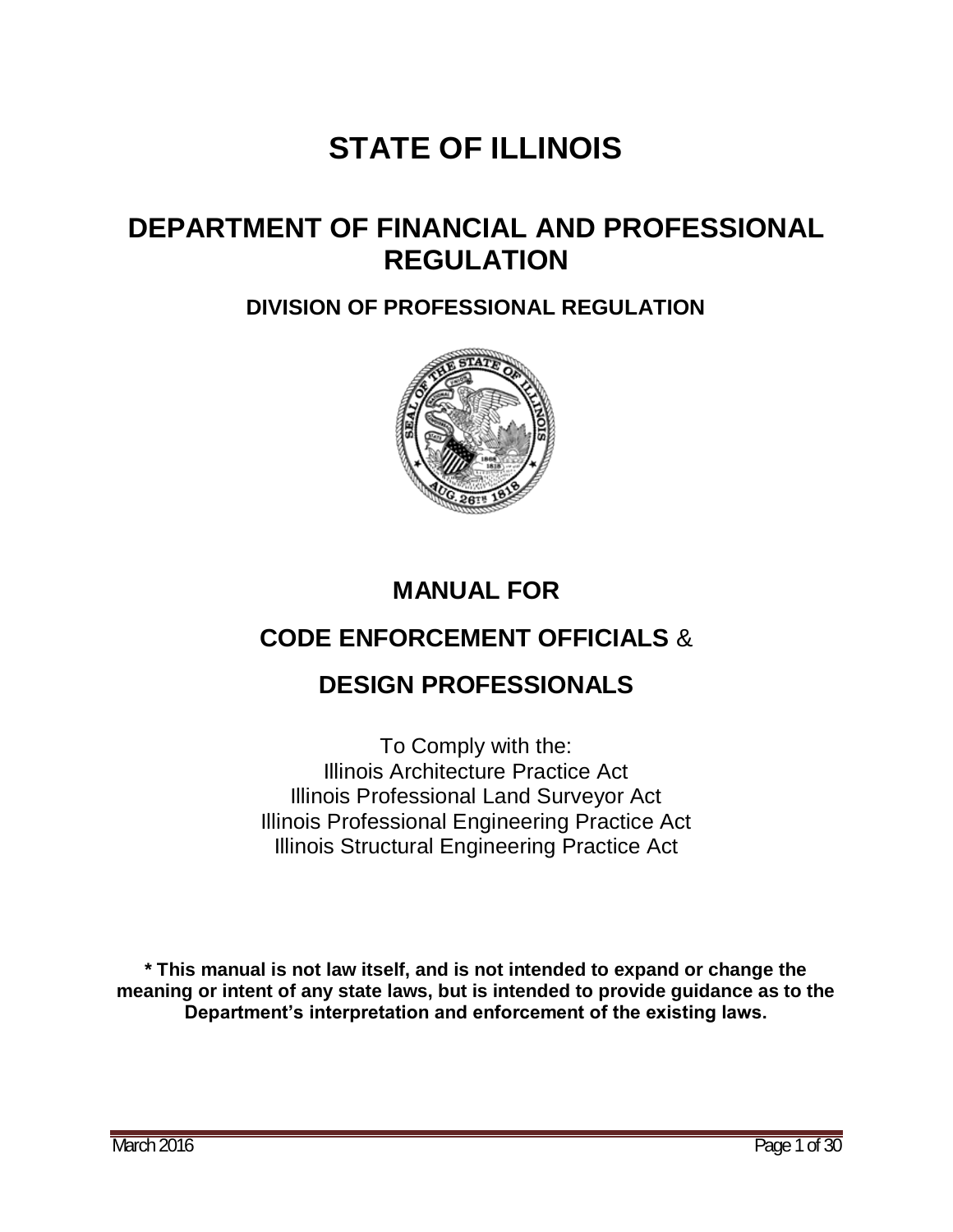# **STATE OF ILLINOIS**

## **DEPARTMENT OF FINANCIAL AND PROFESSIONAL REGULATION**

## **DIVISION OF PROFESSIONAL REGULATION**



## **MANUAL FOR**

## **CODE ENFORCEMENT OFFICIALS** &

## **DESIGN PROFESSIONALS**

To Comply with the: Illinois Architecture Practice Act Illinois Professional Land Surveyor Act Illinois Professional Engineering Practice Act Illinois Structural Engineering Practice Act

**\* This manual is not law itself, and is not intended to expand or change the meaning or intent of any state laws, but is intended to provide guidance as to the Department's interpretation and enforcement of the existing laws.**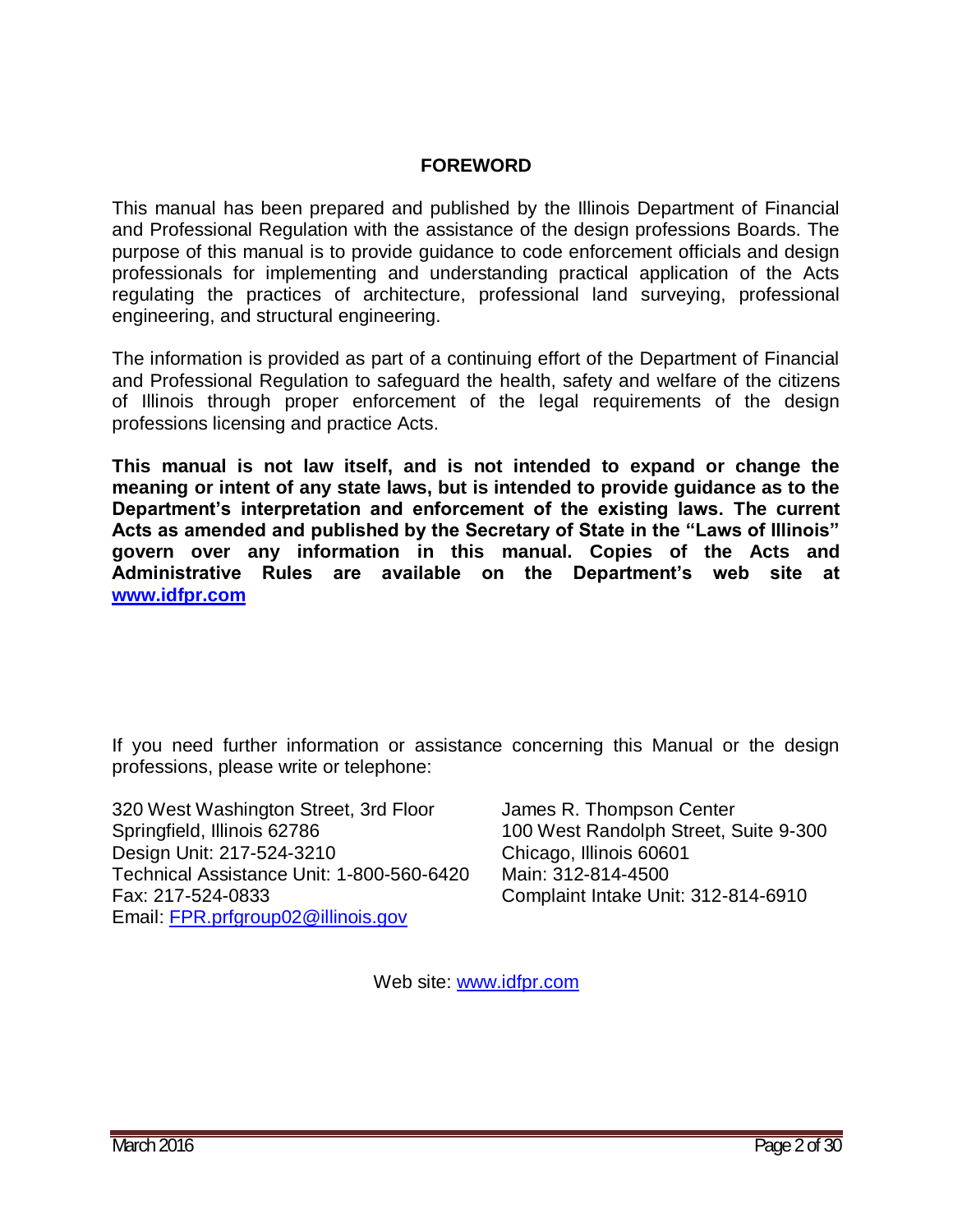#### **FOREWORD**

This manual has been prepared and published by the Illinois Department of Financial and Professional Regulation with the assistance of the design professions Boards. The purpose of this manual is to provide guidance to code enforcement officials and design professionals for implementing and understanding practical application of the Acts regulating the practices of architecture, professional land surveying, professional engineering, and structural engineering.

The information is provided as part of a continuing effort of the Department of Financial and Professional Regulation to safeguard the health, safety and welfare of the citizens of Illinois through proper enforcement of the legal requirements of the design professions licensing and practice Acts.

**This manual is not law itself, and is not intended to expand or change the meaning or intent of any state laws, but is intended to provide guidance as to the Department's interpretation and enforcement of the existing laws. The current Acts as amended and published by the Secretary of State in the "Laws of Illinois" govern over any information in this manual. Copies of the Acts and Administrative Rules are available on the Department's web site at [www.idfpr.com](http://www.idfpr.com/)**

If you need further information or assistance concerning this Manual or the design professions, please write or telephone:

320 West Washington Street, 3rd Floor James R. Thompson Center Springfield, Illinois 62786 100 West Randolph Street, Suite 9-300 Design Unit: 217-524-3210 Chicago, Illinois 60601 Technical Assistance Unit: 1-800-560-6420 Main: 312-814-4500 Fax: 217-524-0833 Complaint Intake Unit: 312-814-6910 Email: [FPR.prfgroup02@illinois.gov](mailto:FPR.prfgroup02@illinois.gov)

Web site: [www.idfpr.com](http://www.idfpr.com/)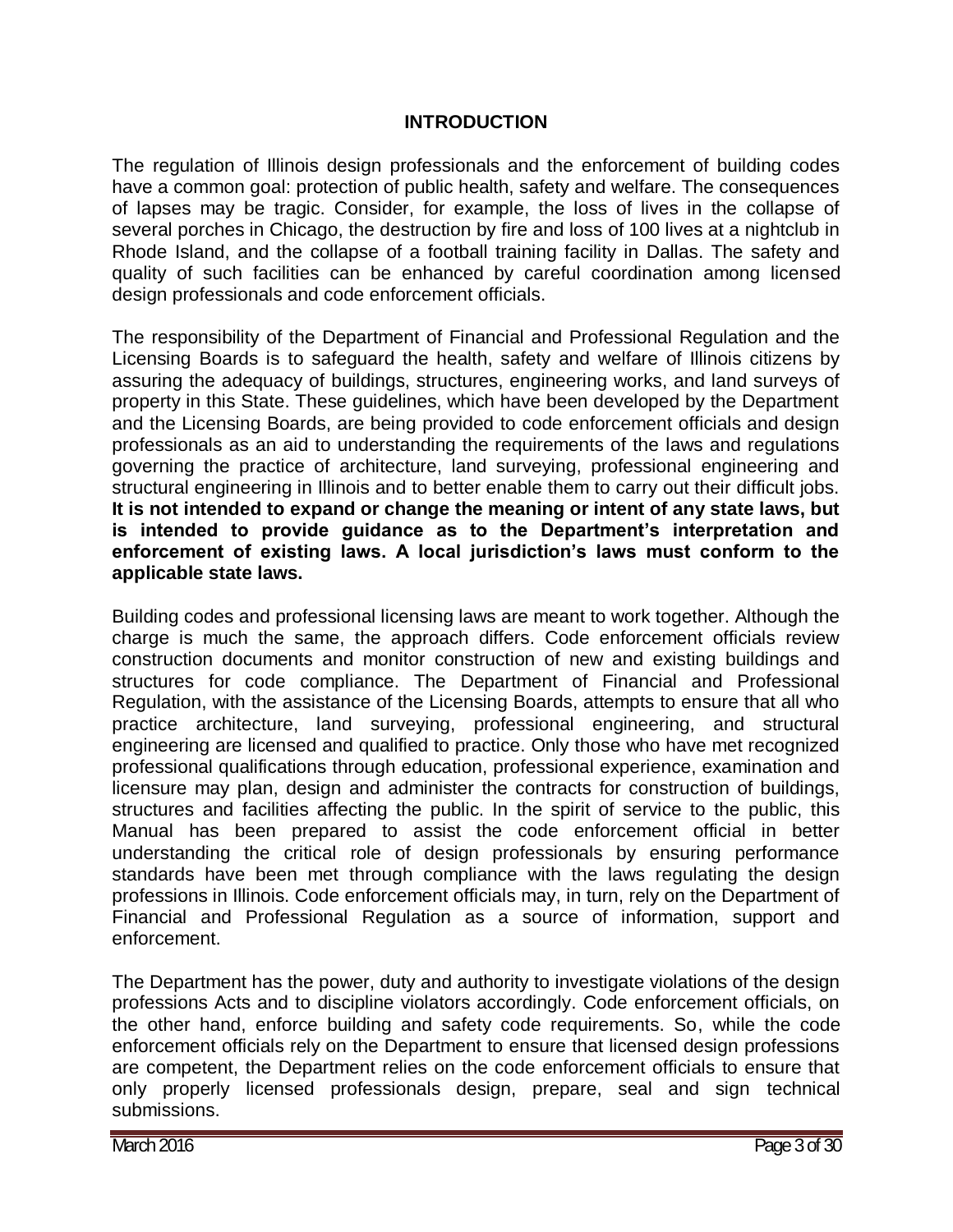#### **INTRODUCTION**

The regulation of Illinois design professionals and the enforcement of building codes have a common goal: protection of public health, safety and welfare. The consequences of lapses may be tragic. Consider, for example, the loss of lives in the collapse of several porches in Chicago, the destruction by fire and loss of 100 lives at a nightclub in Rhode Island, and the collapse of a football training facility in Dallas. The safety and quality of such facilities can be enhanced by careful coordination among licensed design professionals and code enforcement officials.

The responsibility of the Department of Financial and Professional Regulation and the Licensing Boards is to safeguard the health, safety and welfare of Illinois citizens by assuring the adequacy of buildings, structures, engineering works, and land surveys of property in this State. These guidelines, which have been developed by the Department and the Licensing Boards, are being provided to code enforcement officials and design professionals as an aid to understanding the requirements of the laws and regulations governing the practice of architecture, land surveying, professional engineering and structural engineering in Illinois and to better enable them to carry out their difficult jobs. **It is not intended to expand or change the meaning or intent of any state laws, but is intended to provide guidance as to the Department's interpretation and enforcement of existing laws. A local jurisdiction's laws must conform to the applicable state laws.**

Building codes and professional licensing laws are meant to work together. Although the charge is much the same, the approach differs. Code enforcement officials review construction documents and monitor construction of new and existing buildings and structures for code compliance. The Department of Financial and Professional Regulation, with the assistance of the Licensing Boards, attempts to ensure that all who practice architecture, land surveying, professional engineering, and structural engineering are licensed and qualified to practice. Only those who have met recognized professional qualifications through education, professional experience, examination and licensure may plan, design and administer the contracts for construction of buildings, structures and facilities affecting the public. In the spirit of service to the public, this Manual has been prepared to assist the code enforcement official in better understanding the critical role of design professionals by ensuring performance standards have been met through compliance with the laws regulating the design professions in Illinois. Code enforcement officials may, in turn, rely on the Department of Financial and Professional Regulation as a source of information, support and enforcement.

The Department has the power, duty and authority to investigate violations of the design professions Acts and to discipline violators accordingly. Code enforcement officials, on the other hand, enforce building and safety code requirements. So, while the code enforcement officials rely on the Department to ensure that licensed design professions are competent, the Department relies on the code enforcement officials to ensure that only properly licensed professionals design, prepare, seal and sign technical submissions.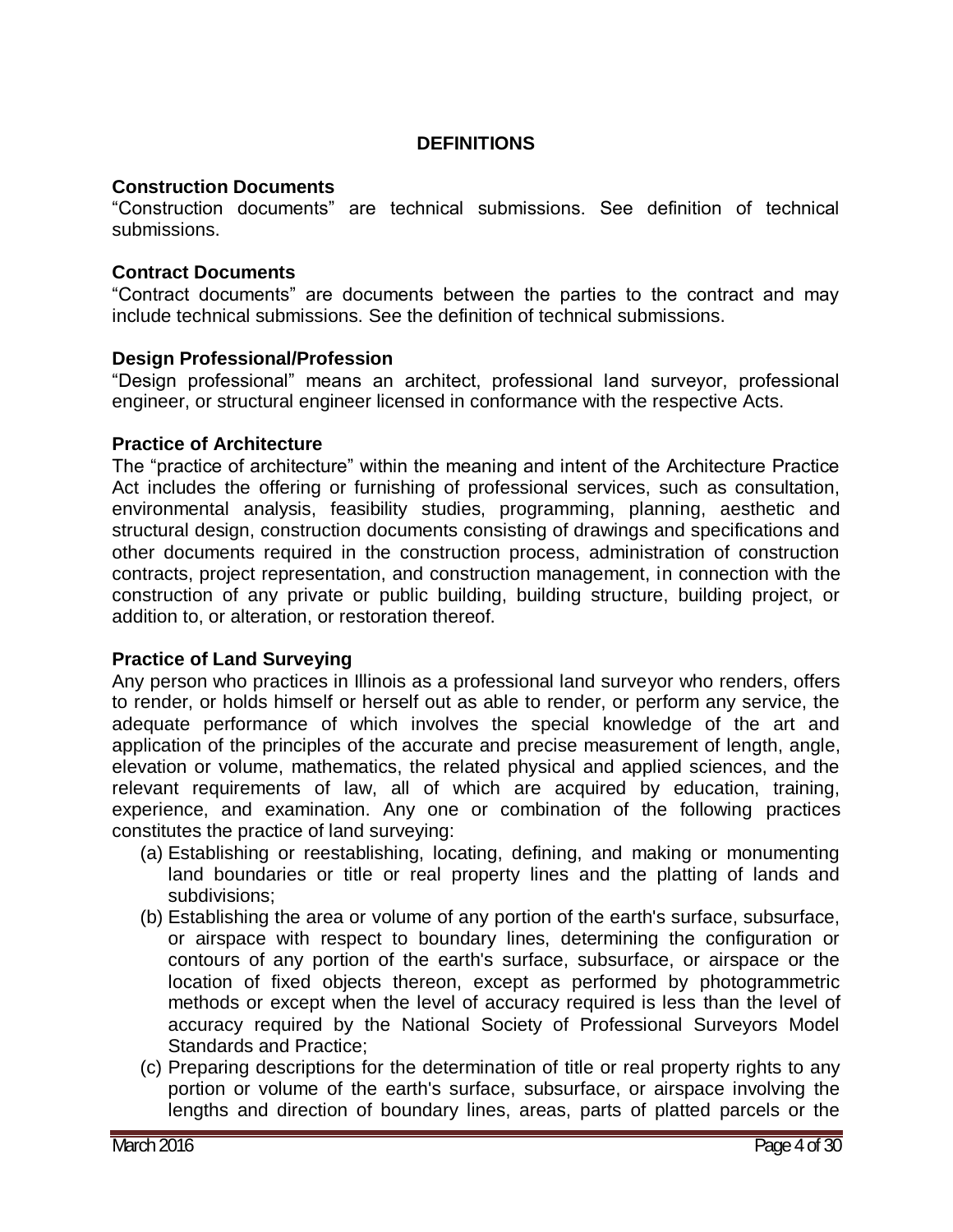#### **DEFINITIONS**

#### **Construction Documents**

"Construction documents" are technical submissions. See definition of technical submissions.

#### **Contract Documents**

"Contract documents" are documents between the parties to the contract and may include technical submissions. See the definition of technical submissions.

#### **Design Professional/Profession**

"Design professional" means an architect, professional land surveyor, professional engineer, or structural engineer licensed in conformance with the respective Acts.

#### **Practice of Architecture**

The "practice of architecture" within the meaning and intent of the Architecture Practice Act includes the offering or furnishing of professional services, such as consultation, environmental analysis, feasibility studies, programming, planning, aesthetic and structural design, construction documents consisting of drawings and specifications and other documents required in the construction process, administration of construction contracts, project representation, and construction management, in connection with the construction of any private or public building, building structure, building project, or addition to, or alteration, or restoration thereof.

#### **Practice of Land Surveying**

Any person who practices in Illinois as a professional land surveyor who renders, offers to render, or holds himself or herself out as able to render, or perform any service, the adequate performance of which involves the special knowledge of the art and application of the principles of the accurate and precise measurement of length, angle, elevation or volume, mathematics, the related physical and applied sciences, and the relevant requirements of law, all of which are acquired by education, training, experience, and examination. Any one or combination of the following practices constitutes the practice of land surveying:

- (a) Establishing or reestablishing, locating, defining, and making or monumenting land boundaries or title or real property lines and the platting of lands and subdivisions;
- (b) Establishing the area or volume of any portion of the earth's surface, subsurface, or airspace with respect to boundary lines, determining the configuration or contours of any portion of the earth's surface, subsurface, or airspace or the location of fixed objects thereon, except as performed by photogrammetric methods or except when the level of accuracy required is less than the level of accuracy required by the National Society of Professional Surveyors Model Standards and Practice;
- (c) Preparing descriptions for the determination of title or real property rights to any portion or volume of the earth's surface, subsurface, or airspace involving the lengths and direction of boundary lines, areas, parts of platted parcels or the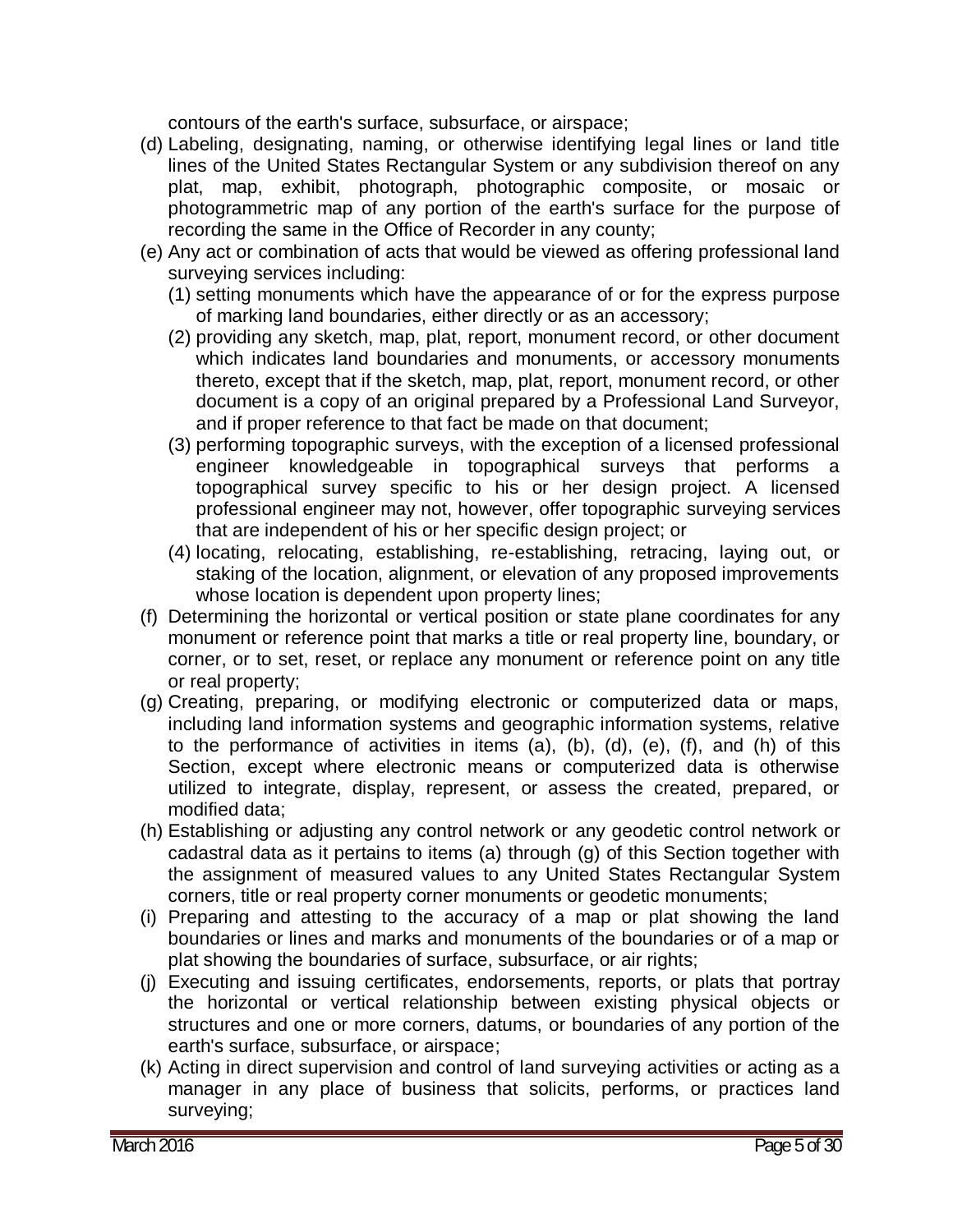contours of the earth's surface, subsurface, or airspace;

- (d) Labeling, designating, naming, or otherwise identifying legal lines or land title lines of the United States Rectangular System or any subdivision thereof on any plat, map, exhibit, photograph, photographic composite, or mosaic or photogrammetric map of any portion of the earth's surface for the purpose of recording the same in the Office of Recorder in any county;
- (e) Any act or combination of acts that would be viewed as offering professional land surveying services including:
	- (1) setting monuments which have the appearance of or for the express purpose of marking land boundaries, either directly or as an accessory;
	- (2) providing any sketch, map, plat, report, monument record, or other document which indicates land boundaries and monuments, or accessory monuments thereto, except that if the sketch, map, plat, report, monument record, or other document is a copy of an original prepared by a Professional Land Surveyor, and if proper reference to that fact be made on that document;
	- (3) performing topographic surveys, with the exception of a licensed professional engineer knowledgeable in topographical surveys that performs a topographical survey specific to his or her design project. A licensed professional engineer may not, however, offer topographic surveying services that are independent of his or her specific design project; or
	- (4) locating, relocating, establishing, re-establishing, retracing, laying out, or staking of the location, alignment, or elevation of any proposed improvements whose location is dependent upon property lines;
- (f) Determining the horizontal or vertical position or state plane coordinates for any monument or reference point that marks a title or real property line, boundary, or corner, or to set, reset, or replace any monument or reference point on any title or real property;
- (g) Creating, preparing, or modifying electronic or computerized data or maps, including land information systems and geographic information systems, relative to the performance of activities in items (a), (b), (d), (e), (f), and (h) of this Section, except where electronic means or computerized data is otherwise utilized to integrate, display, represent, or assess the created, prepared, or modified data;
- (h) Establishing or adjusting any control network or any geodetic control network or cadastral data as it pertains to items (a) through (g) of this Section together with the assignment of measured values to any United States Rectangular System corners, title or real property corner monuments or geodetic monuments;
- (i) Preparing and attesting to the accuracy of a map or plat showing the land boundaries or lines and marks and monuments of the boundaries or of a map or plat showing the boundaries of surface, subsurface, or air rights;
- (j) Executing and issuing certificates, endorsements, reports, or plats that portray the horizontal or vertical relationship between existing physical objects or structures and one or more corners, datums, or boundaries of any portion of the earth's surface, subsurface, or airspace;
- (k) Acting in direct supervision and control of land surveying activities or acting as a manager in any place of business that solicits, performs, or practices land surveying;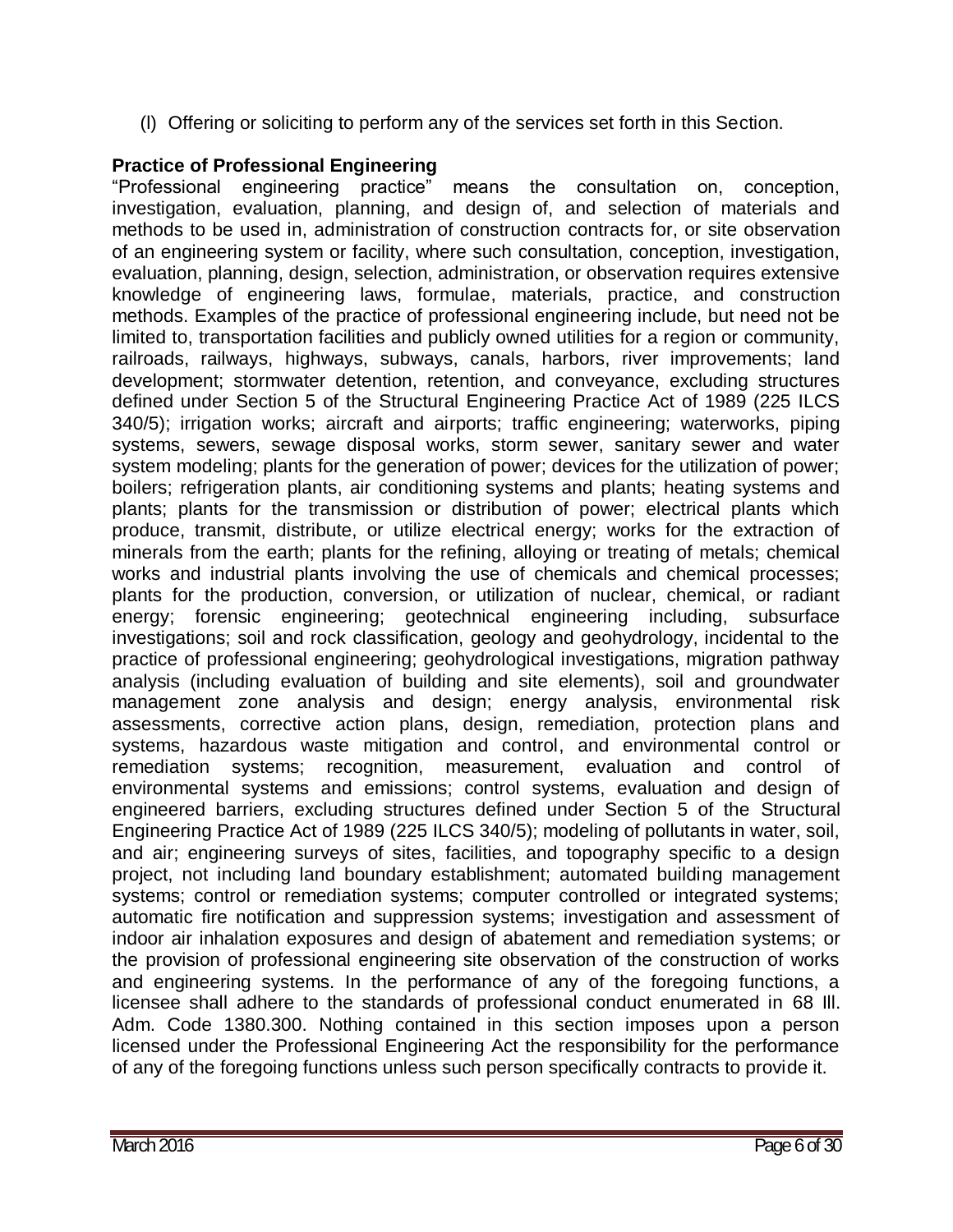(l) Offering or soliciting to perform any of the services set forth in this Section.

## **Practice of Professional Engineering**

"Professional engineering practice" means the consultation on, conception, investigation, evaluation, planning, and design of, and selection of materials and methods to be used in, administration of construction contracts for, or site observation of an engineering system or facility, where such consultation, conception, investigation, evaluation, planning, design, selection, administration, or observation requires extensive knowledge of engineering laws, formulae, materials, practice, and construction methods. Examples of the practice of professional engineering include, but need not be limited to, transportation facilities and publicly owned utilities for a region or community, railroads, railways, highways, subways, canals, harbors, river improvements; land development; stormwater detention, retention, and conveyance, excluding structures defined under Section 5 of the Structural Engineering Practice Act of 1989 (225 ILCS 340/5); irrigation works; aircraft and airports; traffic engineering; waterworks, piping systems, sewers, sewage disposal works, storm sewer, sanitary sewer and water system modeling; plants for the generation of power; devices for the utilization of power; boilers; refrigeration plants, air conditioning systems and plants; heating systems and plants; plants for the transmission or distribution of power; electrical plants which produce, transmit, distribute, or utilize electrical energy; works for the extraction of minerals from the earth; plants for the refining, alloying or treating of metals; chemical works and industrial plants involving the use of chemicals and chemical processes; plants for the production, conversion, or utilization of nuclear, chemical, or radiant energy; forensic engineering; geotechnical engineering including, subsurface investigations; soil and rock classification, geology and geohydrology, incidental to the practice of professional engineering; geohydrological investigations, migration pathway analysis (including evaluation of building and site elements), soil and groundwater management zone analysis and design; energy analysis, environmental risk assessments, corrective action plans, design, remediation, protection plans and systems, hazardous waste mitigation and control, and environmental control or remediation systems; recognition, measurement, evaluation and control of environmental systems and emissions; control systems, evaluation and design of engineered barriers, excluding structures defined under Section 5 of the Structural Engineering Practice Act of 1989 (225 ILCS 340/5); modeling of pollutants in water, soil, and air; engineering surveys of sites, facilities, and topography specific to a design project, not including land boundary establishment; automated building management systems; control or remediation systems; computer controlled or integrated systems; automatic fire notification and suppression systems; investigation and assessment of indoor air inhalation exposures and design of abatement and remediation systems; or the provision of professional engineering site observation of the construction of works and engineering systems. In the performance of any of the foregoing functions, a licensee shall adhere to the standards of professional conduct enumerated in 68 Ill. Adm. Code 1380.300. Nothing contained in this section imposes upon a person licensed under the Professional Engineering Act the responsibility for the performance of any of the foregoing functions unless such person specifically contracts to provide it.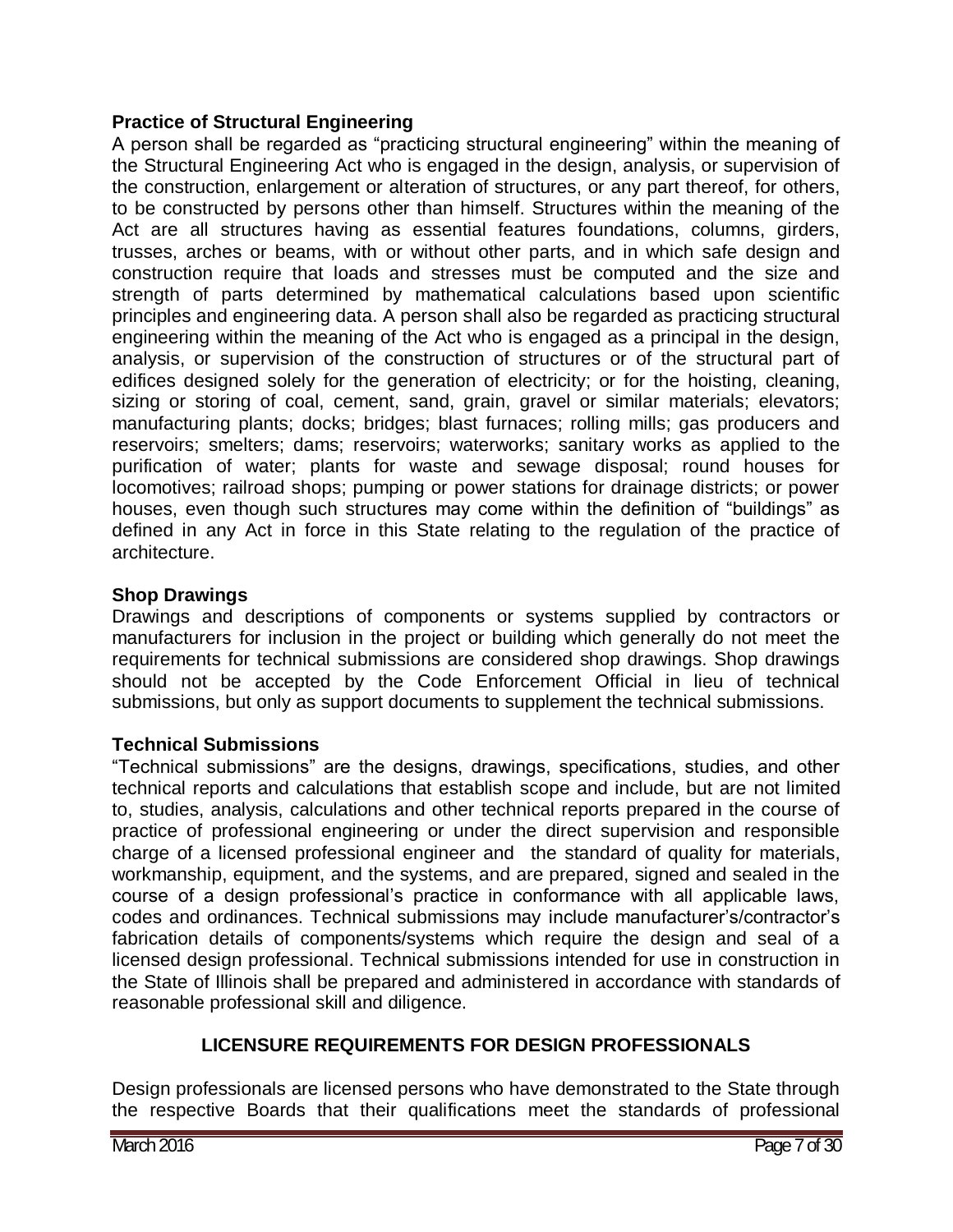#### **Practice of Structural Engineering**

A person shall be regarded as "practicing structural engineering" within the meaning of the Structural Engineering Act who is engaged in the design, analysis, or supervision of the construction, enlargement or alteration of structures, or any part thereof, for others, to be constructed by persons other than himself. Structures within the meaning of the Act are all structures having as essential features foundations, columns, girders, trusses, arches or beams, with or without other parts, and in which safe design and construction require that loads and stresses must be computed and the size and strength of parts determined by mathematical calculations based upon scientific principles and engineering data. A person shall also be regarded as practicing structural engineering within the meaning of the Act who is engaged as a principal in the design, analysis, or supervision of the construction of structures or of the structural part of edifices designed solely for the generation of electricity; or for the hoisting, cleaning, sizing or storing of coal, cement, sand, grain, gravel or similar materials; elevators; manufacturing plants; docks; bridges; blast furnaces; rolling mills; gas producers and reservoirs; smelters; dams; reservoirs; waterworks; sanitary works as applied to the purification of water; plants for waste and sewage disposal; round houses for locomotives; railroad shops; pumping or power stations for drainage districts; or power houses, even though such structures may come within the definition of "buildings" as defined in any Act in force in this State relating to the regulation of the practice of architecture.

### **Shop Drawings**

Drawings and descriptions of components or systems supplied by contractors or manufacturers for inclusion in the project or building which generally do not meet the requirements for technical submissions are considered shop drawings. Shop drawings should not be accepted by the Code Enforcement Official in lieu of technical submissions, but only as support documents to supplement the technical submissions.

#### **Technical Submissions**

"Technical submissions" are the designs, drawings, specifications, studies, and other technical reports and calculations that establish scope and include, but are not limited to, studies, analysis, calculations and other technical reports prepared in the course of practice of professional engineering or under the direct supervision and responsible charge of a licensed professional engineer and the standard of quality for materials, workmanship, equipment, and the systems, and are prepared, signed and sealed in the course of a design professional's practice in conformance with all applicable laws, codes and ordinances. Technical submissions may include manufacturer's/contractor's fabrication details of components/systems which require the design and seal of a licensed design professional. Technical submissions intended for use in construction in the State of Illinois shall be prepared and administered in accordance with standards of reasonable professional skill and diligence.

## **LICENSURE REQUIREMENTS FOR DESIGN PROFESSIONALS**

Design professionals are licensed persons who have demonstrated to the State through the respective Boards that their qualifications meet the standards of professional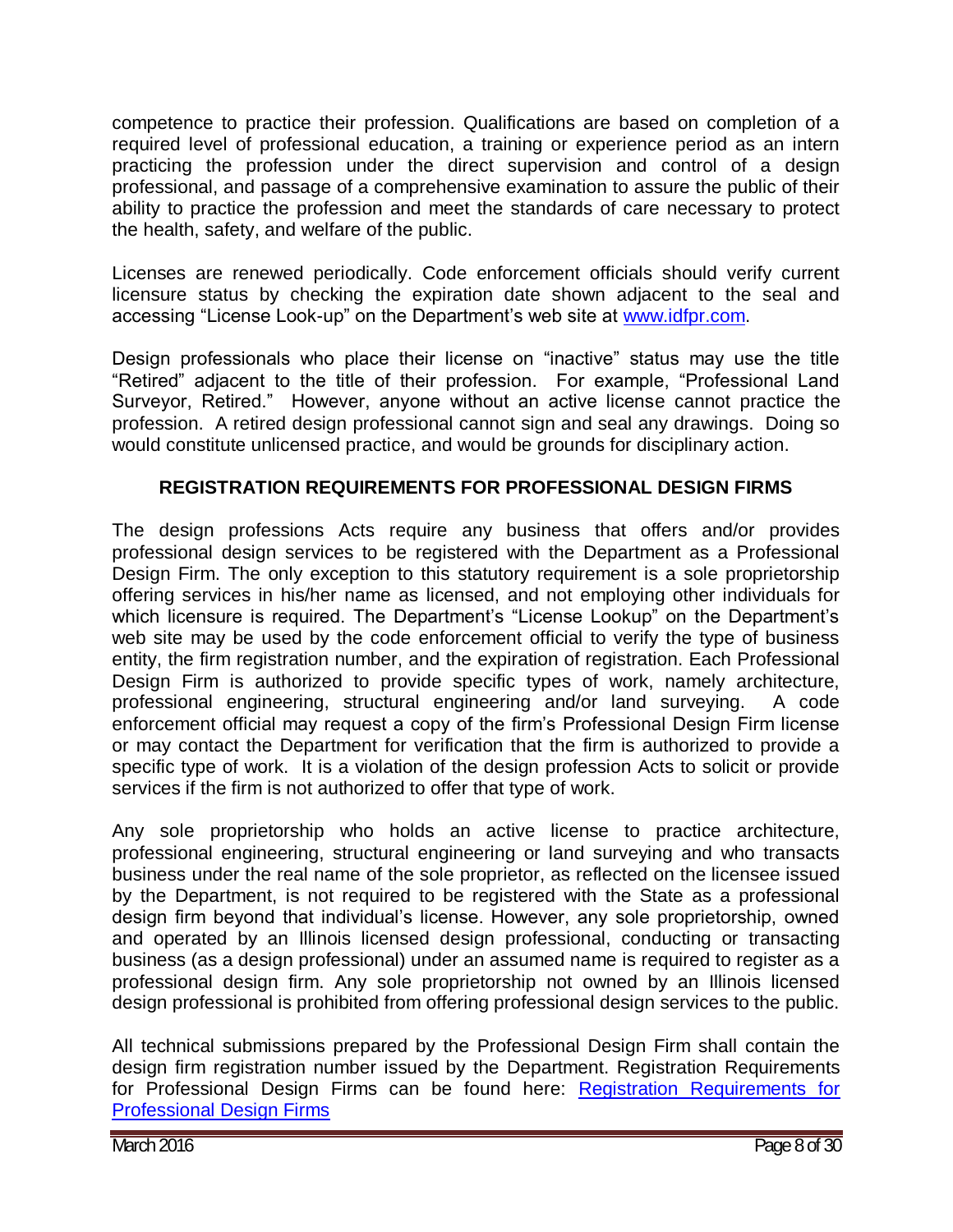competence to practice their profession. Qualifications are based on completion of a required level of professional education, a training or experience period as an intern practicing the profession under the direct supervision and control of a design professional, and passage of a comprehensive examination to assure the public of their ability to practice the profession and meet the standards of care necessary to protect the health, safety, and welfare of the public.

Licenses are renewed periodically. Code enforcement officials should verify current licensure status by checking the expiration date shown adjacent to the seal and accessing "License Look-up" on the Department's web site at [www.idfpr.com.](http://www.idfpr.com/)

Design professionals who place their license on "inactive" status may use the title "Retired" adjacent to the title of their profession. For example, "Professional Land Surveyor, Retired." However, anyone without an active license cannot practice the profession. A retired design professional cannot sign and seal any drawings. Doing so would constitute unlicensed practice, and would be grounds for disciplinary action.

## **REGISTRATION REQUIREMENTS FOR PROFESSIONAL DESIGN FIRMS**

The design professions Acts require any business that offers and/or provides professional design services to be registered with the Department as a Professional Design Firm. The only exception to this statutory requirement is a sole proprietorship offering services in his/her name as licensed, and not employing other individuals for which licensure is required. The Department's "License Lookup" on the Department's web site may be used by the code enforcement official to verify the type of business entity, the firm registration number, and the expiration of registration. Each Professional Design Firm is authorized to provide specific types of work, namely architecture, professional engineering, structural engineering and/or land surveying. A code enforcement official may request a copy of the firm's Professional Design Firm license or may contact the Department for verification that the firm is authorized to provide a specific type of work. It is a violation of the design profession Acts to solicit or provide services if the firm is not authorized to offer that type of work.

Any sole proprietorship who holds an active license to practice architecture, professional engineering, structural engineering or land surveying and who transacts business under the real name of the sole proprietor, as reflected on the licensee issued by the Department, is not required to be registered with the State as a professional design firm beyond that individual's license. However, any sole proprietorship, owned and operated by an Illinois licensed design professional, conducting or transacting business (as a design professional) under an assumed name is required to register as a professional design firm. Any sole proprietorship not owned by an Illinois licensed design professional is prohibited from offering professional design services to the public.

All technical submissions prepared by the Professional Design Firm shall contain the design firm registration number issued by the Department. Registration Requirements for Professional Design Firms can be found here: [Registration Requirements for](http://www.idfpr.com/Forms/RegRequirementsProfDesignFirm.pdf)  [Professional Design Firms](http://www.idfpr.com/Forms/RegRequirementsProfDesignFirm.pdf)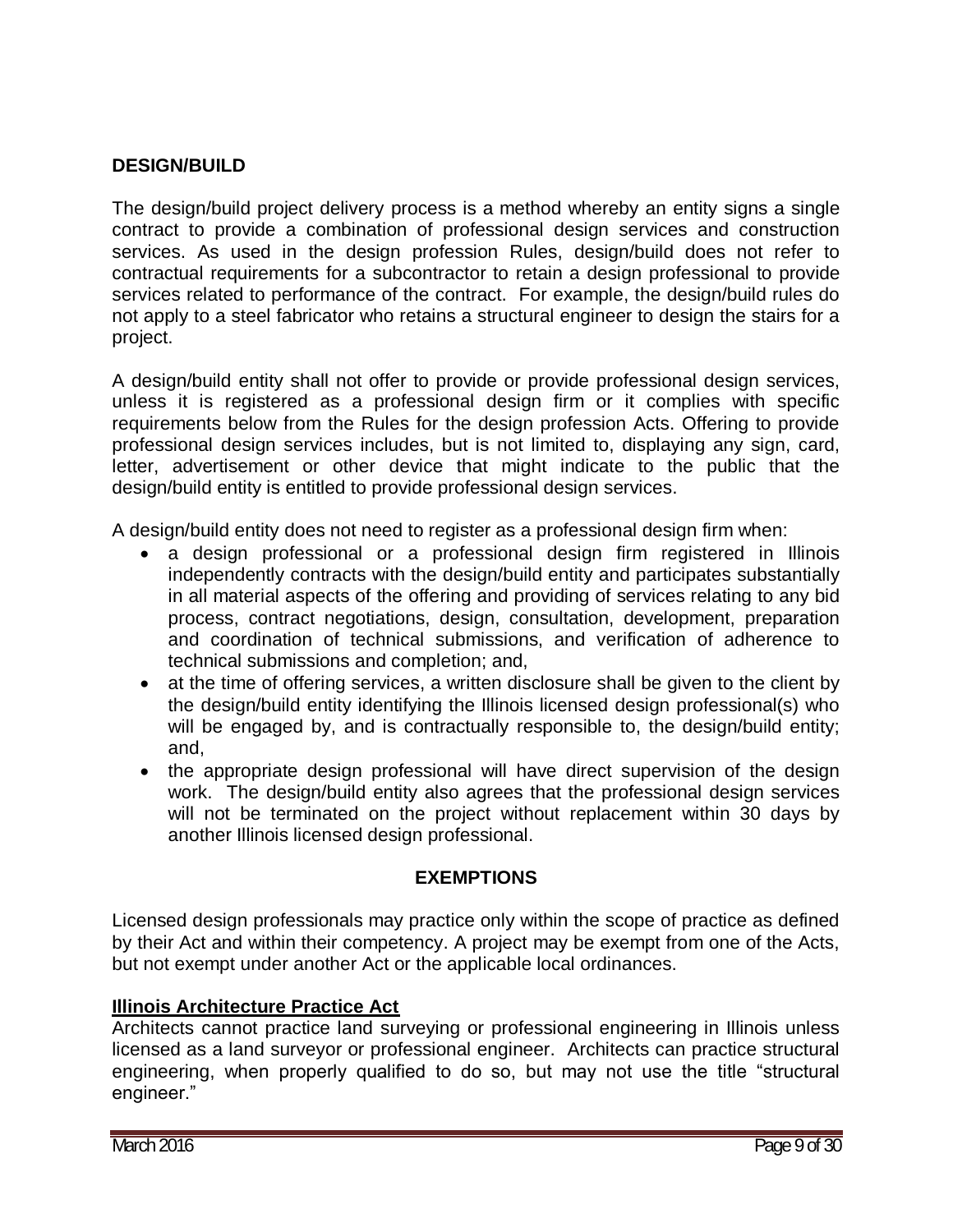#### **DESIGN/BUILD**

The design/build project delivery process is a method whereby an entity signs a single contract to provide a combination of professional design services and construction services. As used in the design profession Rules, design/build does not refer to contractual requirements for a subcontractor to retain a design professional to provide services related to performance of the contract. For example, the design/build rules do not apply to a steel fabricator who retains a structural engineer to design the stairs for a project.

A design/build entity shall not offer to provide or provide professional design services, unless it is registered as a professional design firm or it complies with specific requirements below from the Rules for the design profession Acts. Offering to provide professional design services includes, but is not limited to, displaying any sign, card, letter, advertisement or other device that might indicate to the public that the design/build entity is entitled to provide professional design services.

A design/build entity does not need to register as a professional design firm when:

- a design professional or a professional design firm registered in Illinois independently contracts with the design/build entity and participates substantially in all material aspects of the offering and providing of services relating to any bid process, contract negotiations, design, consultation, development, preparation and coordination of technical submissions, and verification of adherence to technical submissions and completion; and,
- at the time of offering services, a written disclosure shall be given to the client by the design/build entity identifying the Illinois licensed design professional(s) who will be engaged by, and is contractually responsible to, the design/build entity; and,
- the appropriate design professional will have direct supervision of the design work. The design/build entity also agrees that the professional design services will not be terminated on the project without replacement within 30 days by another Illinois licensed design professional.

#### **EXEMPTIONS**

Licensed design professionals may practice only within the scope of practice as defined by their Act and within their competency. A project may be exempt from one of the Acts, but not exempt under another Act or the applicable local ordinances.

#### **Illinois Architecture Practice Act**

Architects cannot practice land surveying or professional engineering in Illinois unless licensed as a land surveyor or professional engineer. Architects can practice structural engineering, when properly qualified to do so, but may not use the title "structural engineer."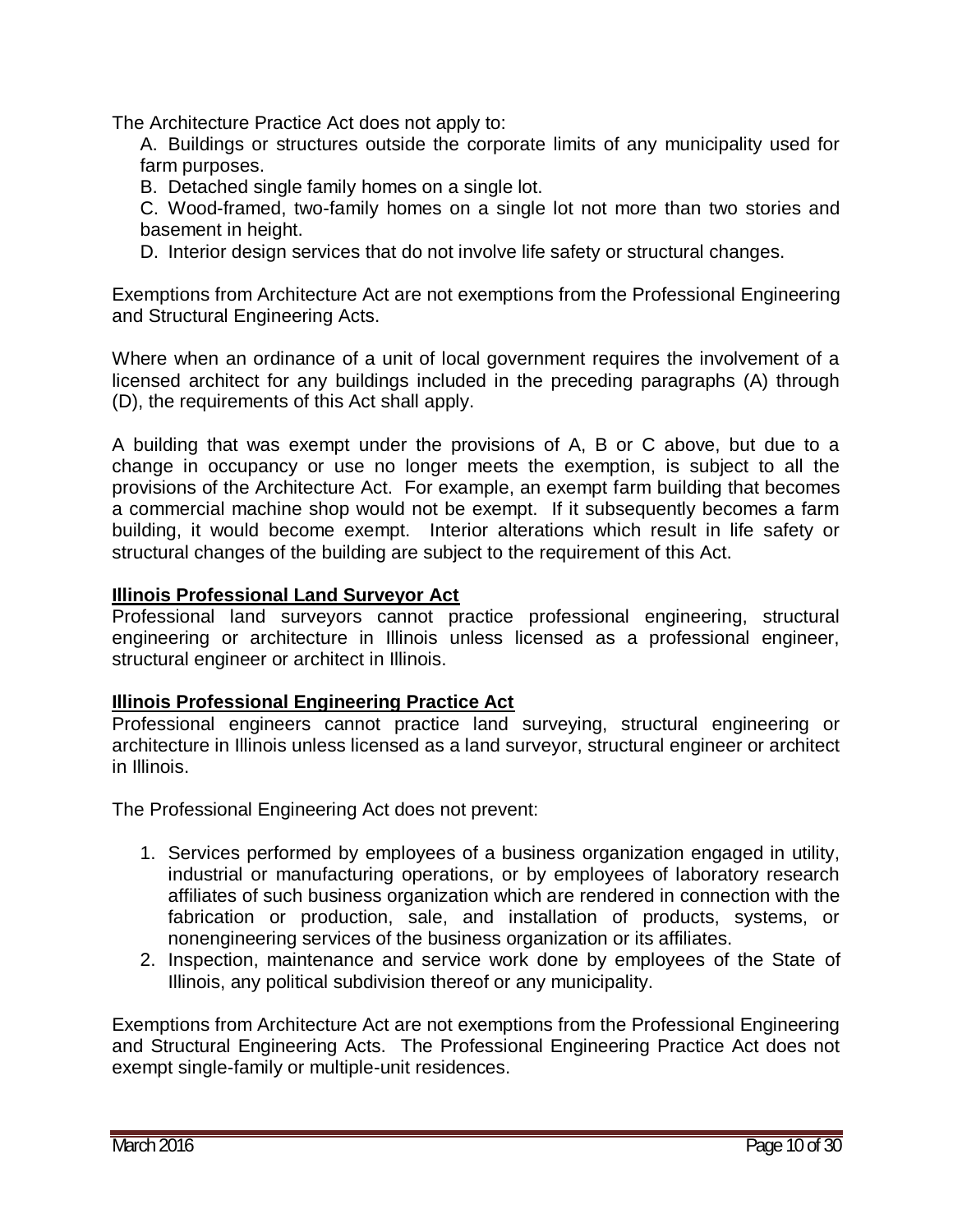The Architecture Practice Act does not apply to:

A. Buildings or structures outside the corporate limits of any municipality used for farm purposes.

B. Detached single family homes on a single lot.

C. Wood-framed, two-family homes on a single lot not more than two stories and basement in height.

D. Interior design services that do not involve life safety or structural changes.

Exemptions from Architecture Act are not exemptions from the Professional Engineering and Structural Engineering Acts.

Where when an ordinance of a unit of local government requires the involvement of a licensed architect for any buildings included in the preceding paragraphs (A) through (D), the requirements of this Act shall apply.

A building that was exempt under the provisions of A, B or C above, but due to a change in occupancy or use no longer meets the exemption, is subject to all the provisions of the Architecture Act. For example, an exempt farm building that becomes a commercial machine shop would not be exempt. If it subsequently becomes a farm building, it would become exempt. Interior alterations which result in life safety or structural changes of the building are subject to the requirement of this Act.

#### **Illinois Professional Land Surveyor Act**

Professional land surveyors cannot practice professional engineering, structural engineering or architecture in Illinois unless licensed as a professional engineer, structural engineer or architect in Illinois.

#### **Illinois Professional Engineering Practice Act**

Professional engineers cannot practice land surveying, structural engineering or architecture in Illinois unless licensed as a land surveyor, structural engineer or architect in Illinois.

The Professional Engineering Act does not prevent:

- 1. Services performed by employees of a business organization engaged in utility, industrial or manufacturing operations, or by employees of laboratory research affiliates of such business organization which are rendered in connection with the fabrication or production, sale, and installation of products, systems, or nonengineering services of the business organization or its affiliates.
- 2. Inspection, maintenance and service work done by employees of the State of Illinois, any political subdivision thereof or any municipality.

Exemptions from Architecture Act are not exemptions from the Professional Engineering and Structural Engineering Acts. The Professional Engineering Practice Act does not exempt single-family or multiple-unit residences.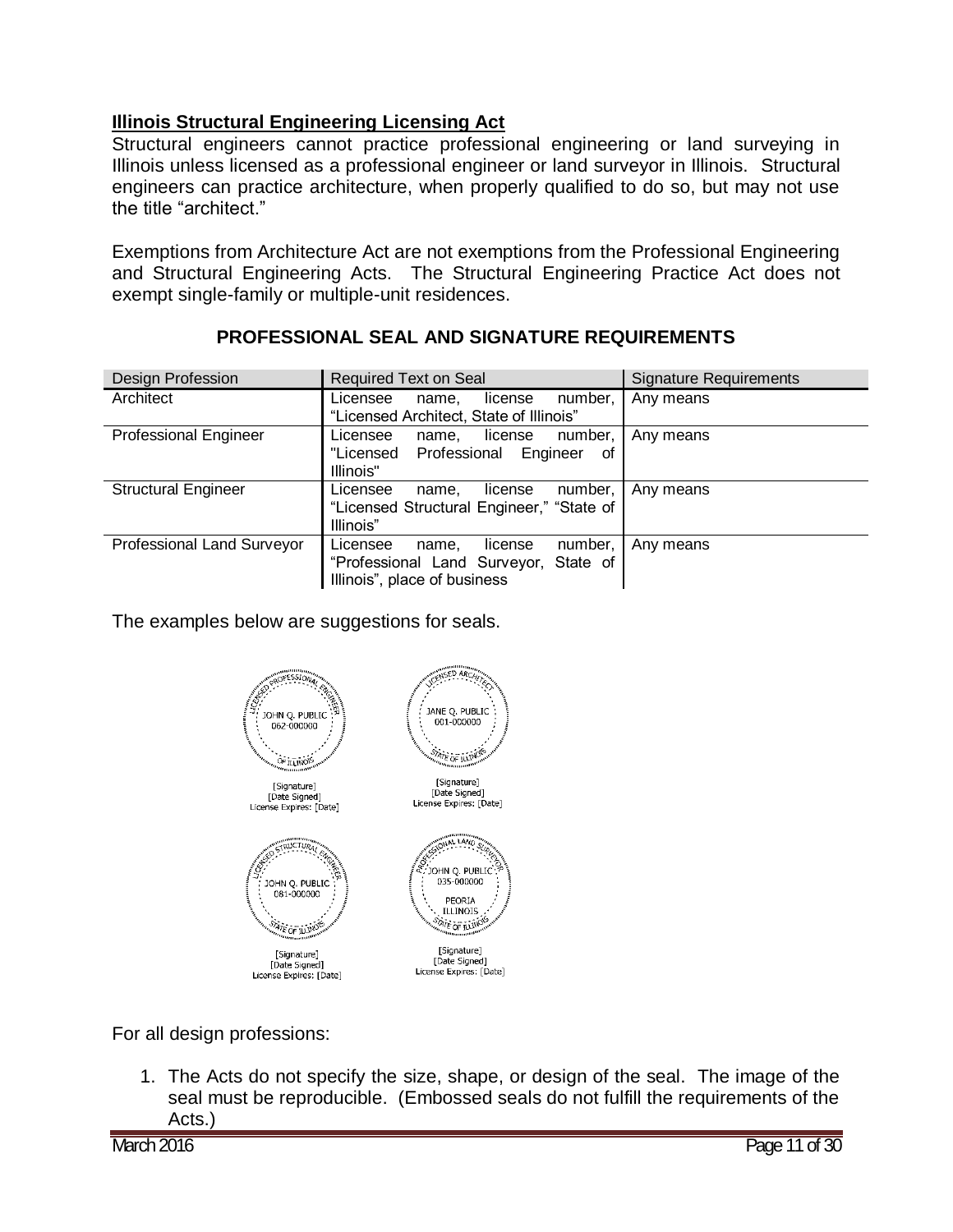## **Illinois Structural Engineering Licensing Act**

Structural engineers cannot practice professional engineering or land surveying in Illinois unless licensed as a professional engineer or land surveyor in Illinois. Structural engineers can practice architecture, when properly qualified to do so, but may not use the title "architect."

Exemptions from Architecture Act are not exemptions from the Professional Engineering and Structural Engineering Acts. The Structural Engineering Practice Act does not exempt single-family or multiple-unit residences.

| Design Profession            | <b>Required Text on Seal</b>                                                                                     | <b>Signature Requirements</b> |
|------------------------------|------------------------------------------------------------------------------------------------------------------|-------------------------------|
| Architect                    | number,<br>Licensee<br>license<br>name.<br>"Licensed Architect, State of Illinois"                               | Any means                     |
| <b>Professional Engineer</b> | number,<br>Licensee<br>license<br>name.<br>"Licensed Professional<br>Engineer<br>οf<br>Illinois"                 | Any means                     |
| <b>Structural Engineer</b>   | number,<br>Licensee<br>license<br>name,<br>"Licensed Structural Engineer," "State of<br>Illinois"                | Any means                     |
| Professional Land Surveyor   | number,<br>Licensee<br>license<br>name.<br>"Professional Land Surveyor, State of<br>Illinois", place of business | Any means                     |

## **PROFESSIONAL SEAL AND SIGNATURE REQUIREMENTS**

The examples below are suggestions for seals.



For all design professions:

1. The Acts do not specify the size, shape, or design of the seal. The image of the seal must be reproducible. (Embossed seals do not fulfill the requirements of the Acts.)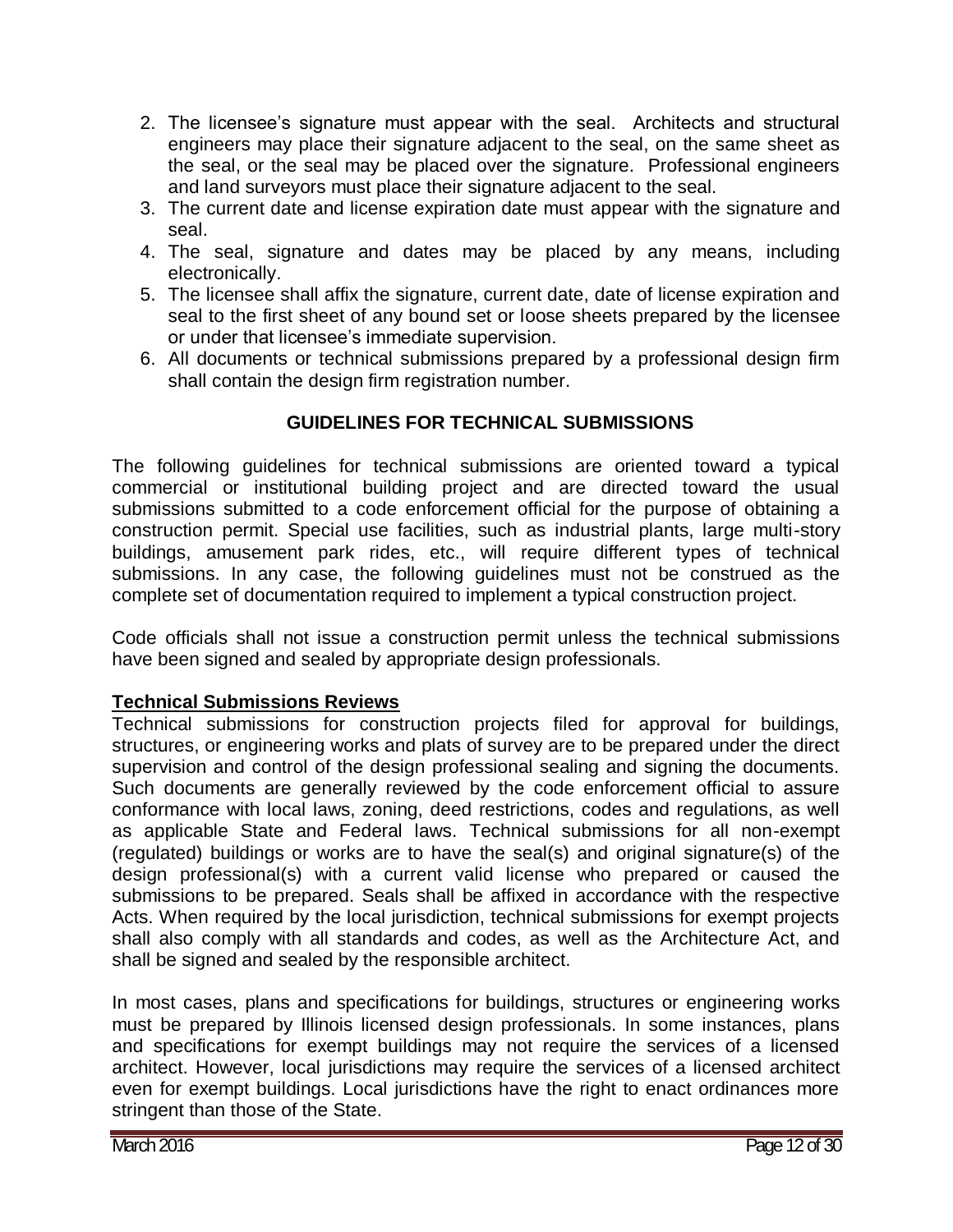- 2. The licensee's signature must appear with the seal. Architects and structural engineers may place their signature adjacent to the seal, on the same sheet as the seal, or the seal may be placed over the signature. Professional engineers and land surveyors must place their signature adjacent to the seal.
- 3. The current date and license expiration date must appear with the signature and seal.
- 4. The seal, signature and dates may be placed by any means, including electronically.
- 5. The licensee shall affix the signature, current date, date of license expiration and seal to the first sheet of any bound set or loose sheets prepared by the licensee or under that licensee's immediate supervision.
- 6. All documents or technical submissions prepared by a professional design firm shall contain the design firm registration number.

## **GUIDELINES FOR TECHNICAL SUBMISSIONS**

The following guidelines for technical submissions are oriented toward a typical commercial or institutional building project and are directed toward the usual submissions submitted to a code enforcement official for the purpose of obtaining a construction permit. Special use facilities, such as industrial plants, large multi-story buildings, amusement park rides, etc., will require different types of technical submissions. In any case, the following quidelines must not be construed as the complete set of documentation required to implement a typical construction project.

Code officials shall not issue a construction permit unless the technical submissions have been signed and sealed by appropriate design professionals.

#### **Technical Submissions Reviews**

Technical submissions for construction projects filed for approval for buildings, structures, or engineering works and plats of survey are to be prepared under the direct supervision and control of the design professional sealing and signing the documents. Such documents are generally reviewed by the code enforcement official to assure conformance with local laws, zoning, deed restrictions, codes and regulations, as well as applicable State and Federal laws. Technical submissions for all non-exempt (regulated) buildings or works are to have the seal(s) and original signature(s) of the design professional(s) with a current valid license who prepared or caused the submissions to be prepared. Seals shall be affixed in accordance with the respective Acts. When required by the local jurisdiction, technical submissions for exempt projects shall also comply with all standards and codes, as well as the Architecture Act, and shall be signed and sealed by the responsible architect.

In most cases, plans and specifications for buildings, structures or engineering works must be prepared by Illinois licensed design professionals. In some instances, plans and specifications for exempt buildings may not require the services of a licensed architect. However, local jurisdictions may require the services of a licensed architect even for exempt buildings. Local jurisdictions have the right to enact ordinances more stringent than those of the State.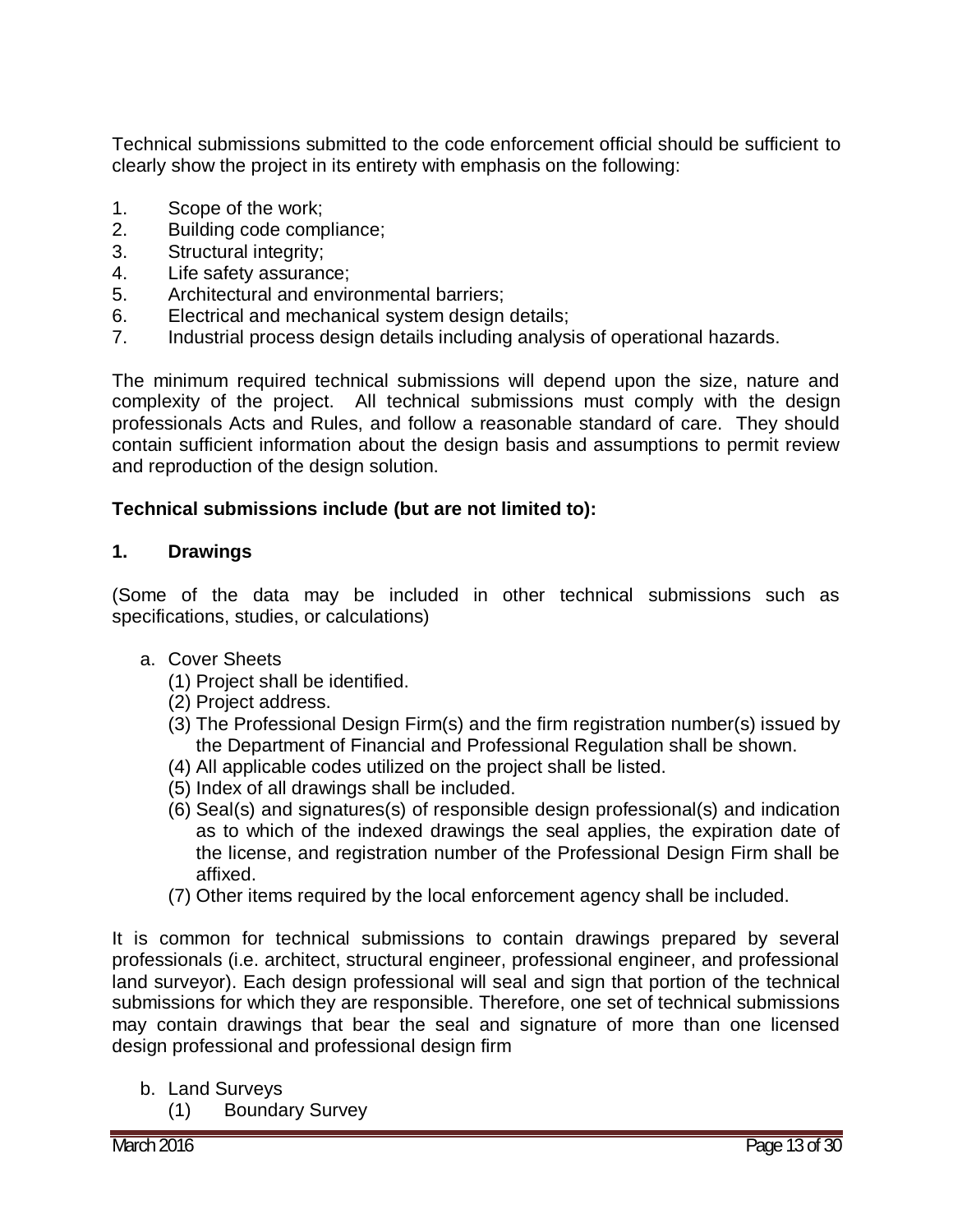Technical submissions submitted to the code enforcement official should be sufficient to clearly show the project in its entirety with emphasis on the following:

- 1. Scope of the work;
- 2. Building code compliance;
- 3. Structural integrity;
- 4. Life safety assurance;
- 5. Architectural and environmental barriers;
- 6. Electrical and mechanical system design details;
- 7. Industrial process design details including analysis of operational hazards.

The minimum required technical submissions will depend upon the size, nature and complexity of the project. All technical submissions must comply with the design professionals Acts and Rules, and follow a reasonable standard of care. They should contain sufficient information about the design basis and assumptions to permit review and reproduction of the design solution.

#### **Technical submissions include (but are not limited to):**

#### **1. Drawings**

(Some of the data may be included in other technical submissions such as specifications, studies, or calculations)

- a. Cover Sheets
	- (1) Project shall be identified.
	- (2) Project address.
	- (3) The Professional Design Firm(s) and the firm registration number(s) issued by the Department of Financial and Professional Regulation shall be shown.
	- (4) All applicable codes utilized on the project shall be listed.
	- (5) Index of all drawings shall be included.
	- (6) Seal(s) and signatures(s) of responsible design professional(s) and indication as to which of the indexed drawings the seal applies, the expiration date of the license, and registration number of the Professional Design Firm shall be affixed.
	- (7) Other items required by the local enforcement agency shall be included.

It is common for technical submissions to contain drawings prepared by several professionals (i.e. architect, structural engineer, professional engineer, and professional land surveyor). Each design professional will seal and sign that portion of the technical submissions for which they are responsible. Therefore, one set of technical submissions may contain drawings that bear the seal and signature of more than one licensed design professional and professional design firm

- b. Land Surveys
	- (1) Boundary Survey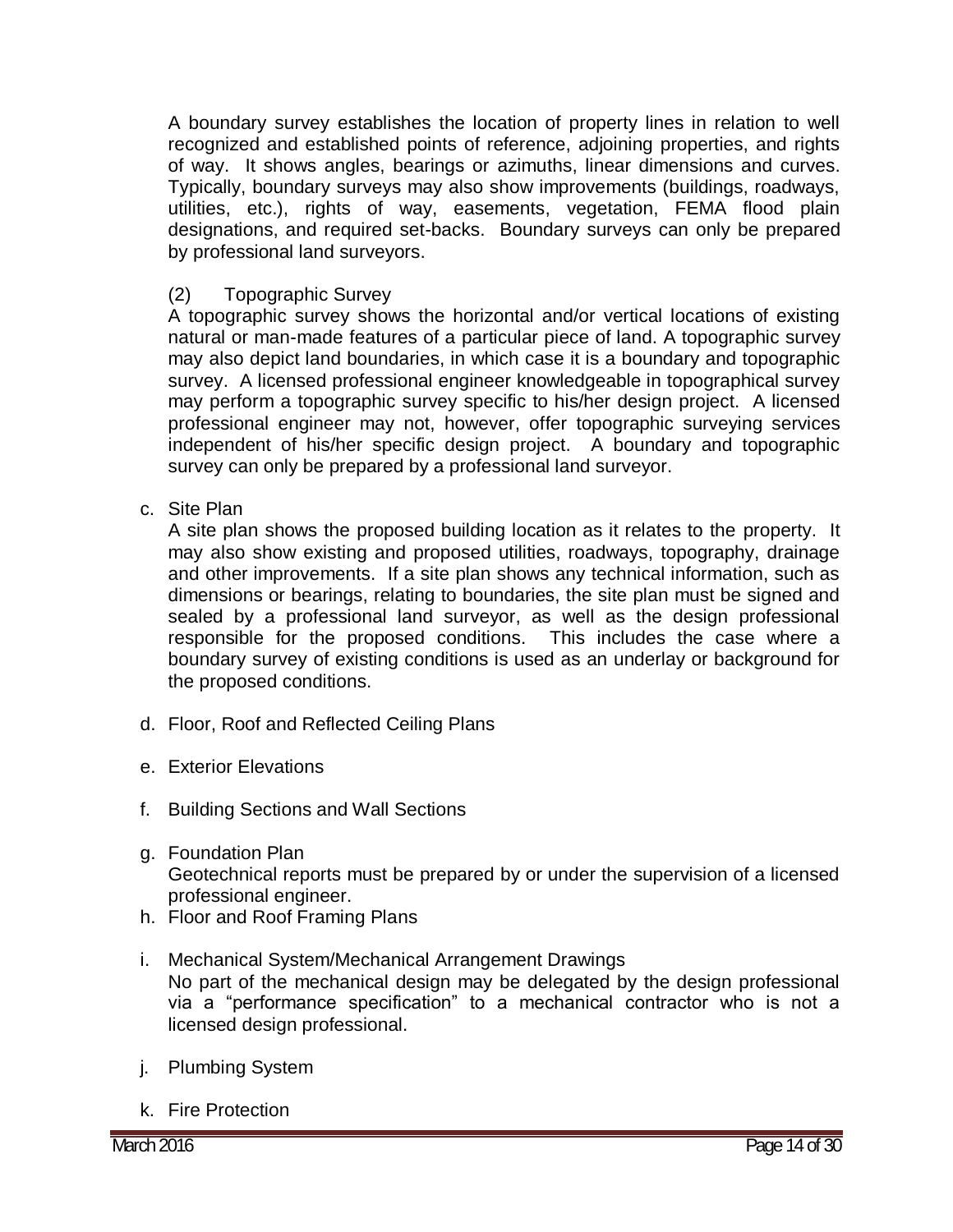A boundary survey establishes the location of property lines in relation to well recognized and established points of reference, adjoining properties, and rights of way. It shows angles, bearings or azimuths, linear dimensions and curves. Typically, boundary surveys may also show improvements (buildings, roadways, utilities, etc.), rights of way, easements, vegetation, FEMA flood plain designations, and required set-backs. Boundary surveys can only be prepared by professional land surveyors.

#### (2) Topographic Survey

A topographic survey shows the horizontal and/or vertical locations of existing natural or man-made features of a particular piece of land. A topographic survey may also depict land boundaries, in which case it is a boundary and topographic survey. A licensed professional engineer knowledgeable in topographical survey may perform a topographic survey specific to his/her design project. A licensed professional engineer may not, however, offer topographic surveying services independent of his/her specific design project. A boundary and topographic survey can only be prepared by a professional land surveyor.

#### c. Site Plan

A site plan shows the proposed building location as it relates to the property. It may also show existing and proposed utilities, roadways, topography, drainage and other improvements. If a site plan shows any technical information, such as dimensions or bearings, relating to boundaries, the site plan must be signed and sealed by a professional land surveyor, as well as the design professional responsible for the proposed conditions. This includes the case where a boundary survey of existing conditions is used as an underlay or background for the proposed conditions.

- d. Floor, Roof and Reflected Ceiling Plans
- e. Exterior Elevations
- f. Building Sections and Wall Sections
- g. Foundation Plan Geotechnical reports must be prepared by or under the supervision of a licensed professional engineer.
- h. Floor and Roof Framing Plans
- i. Mechanical System/Mechanical Arrangement Drawings No part of the mechanical design may be delegated by the design professional via a "performance specification" to a mechanical contractor who is not a licensed design professional.
- j. Plumbing System
- k. Fire Protection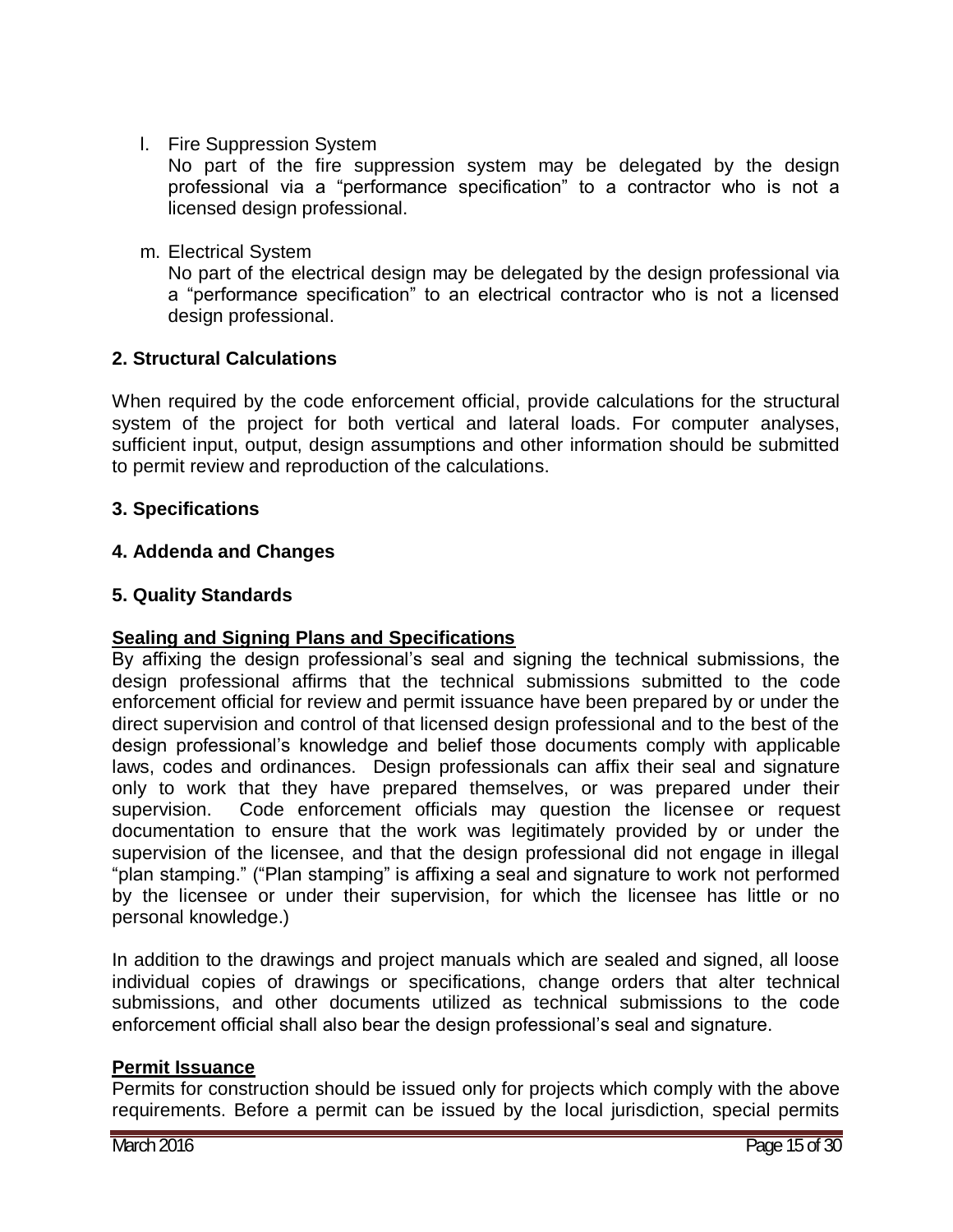l. Fire Suppression System

No part of the fire suppression system may be delegated by the design professional via a "performance specification" to a contractor who is not a licensed design professional.

m. Electrical System

No part of the electrical design may be delegated by the design professional via a "performance specification" to an electrical contractor who is not a licensed design professional.

#### **2. Structural Calculations**

When required by the code enforcement official, provide calculations for the structural system of the project for both vertical and lateral loads. For computer analyses, sufficient input, output, design assumptions and other information should be submitted to permit review and reproduction of the calculations.

#### **3. Specifications**

#### **4. Addenda and Changes**

#### **5. Quality Standards**

#### **Sealing and Signing Plans and Specifications**

By affixing the design professional's seal and signing the technical submissions, the design professional affirms that the technical submissions submitted to the code enforcement official for review and permit issuance have been prepared by or under the direct supervision and control of that licensed design professional and to the best of the design professional's knowledge and belief those documents comply with applicable laws, codes and ordinances. Design professionals can affix their seal and signature only to work that they have prepared themselves, or was prepared under their supervision. Code enforcement officials may question the licensee or request documentation to ensure that the work was legitimately provided by or under the supervision of the licensee, and that the design professional did not engage in illegal "plan stamping." ("Plan stamping" is affixing a seal and signature to work not performed by the licensee or under their supervision, for which the licensee has little or no personal knowledge.)

In addition to the drawings and project manuals which are sealed and signed, all loose individual copies of drawings or specifications, change orders that alter technical submissions, and other documents utilized as technical submissions to the code enforcement official shall also bear the design professional's seal and signature.

#### **Permit Issuance**

Permits for construction should be issued only for projects which comply with the above requirements. Before a permit can be issued by the local jurisdiction, special permits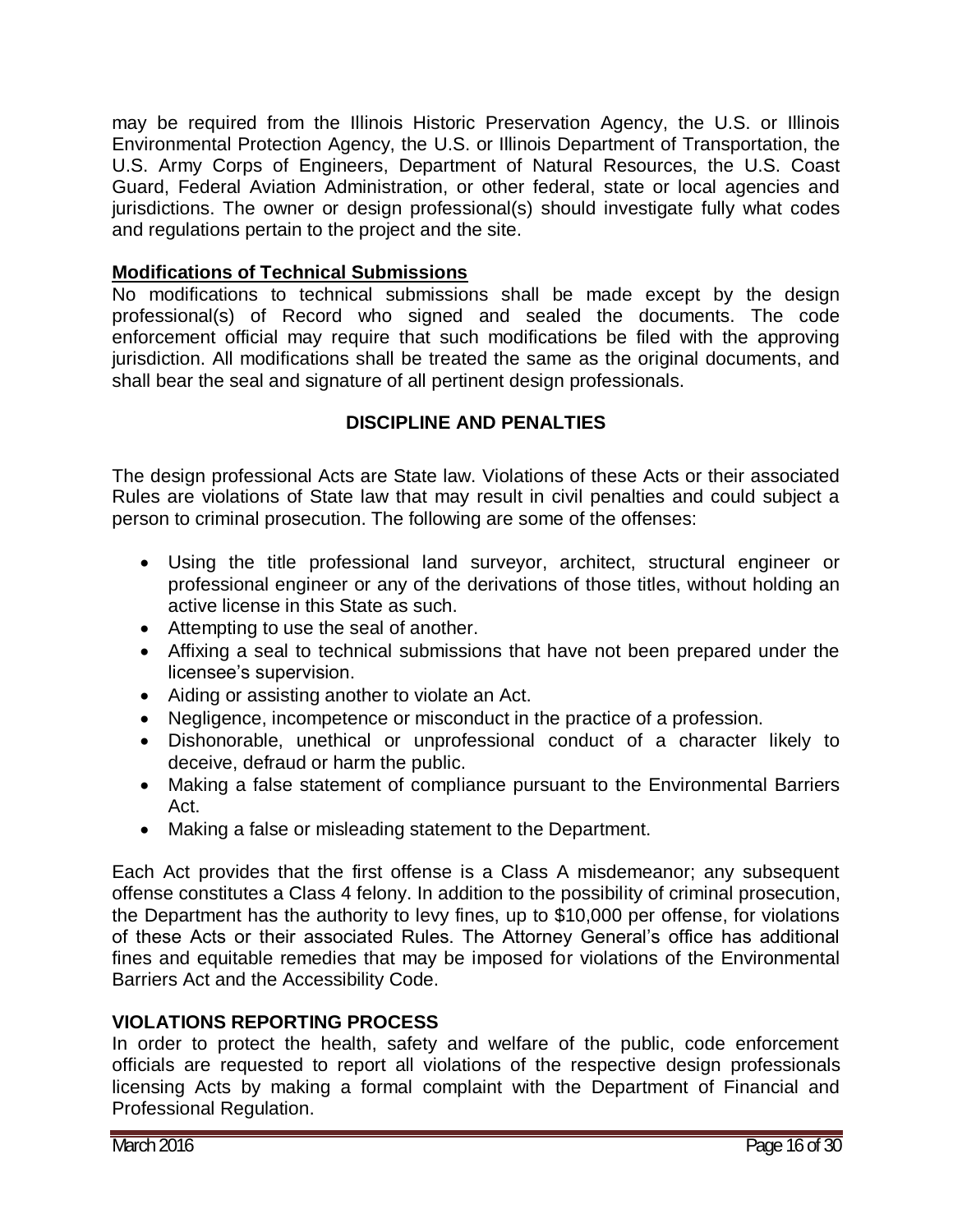may be required from the Illinois Historic Preservation Agency, the U.S. or Illinois Environmental Protection Agency, the U.S. or Illinois Department of Transportation, the U.S. Army Corps of Engineers, Department of Natural Resources, the U.S. Coast Guard, Federal Aviation Administration, or other federal, state or local agencies and jurisdictions. The owner or design professional(s) should investigate fully what codes and regulations pertain to the project and the site.

### **Modifications of Technical Submissions**

No modifications to technical submissions shall be made except by the design professional(s) of Record who signed and sealed the documents. The code enforcement official may require that such modifications be filed with the approving jurisdiction. All modifications shall be treated the same as the original documents, and shall bear the seal and signature of all pertinent design professionals.

### **DISCIPLINE AND PENALTIES**

The design professional Acts are State law. Violations of these Acts or their associated Rules are violations of State law that may result in civil penalties and could subject a person to criminal prosecution. The following are some of the offenses:

- Using the title professional land surveyor, architect, structural engineer or professional engineer or any of the derivations of those titles, without holding an active license in this State as such.
- Attempting to use the seal of another.
- Affixing a seal to technical submissions that have not been prepared under the licensee's supervision.
- Aiding or assisting another to violate an Act.
- Negligence, incompetence or misconduct in the practice of a profession.
- Dishonorable, unethical or unprofessional conduct of a character likely to deceive, defraud or harm the public.
- Making a false statement of compliance pursuant to the Environmental Barriers Act.
- Making a false or misleading statement to the Department.

Each Act provides that the first offense is a Class A misdemeanor; any subsequent offense constitutes a Class 4 felony. In addition to the possibility of criminal prosecution, the Department has the authority to levy fines, up to \$10,000 per offense, for violations of these Acts or their associated Rules. The Attorney General's office has additional fines and equitable remedies that may be imposed for violations of the Environmental Barriers Act and the Accessibility Code.

#### **VIOLATIONS REPORTING PROCESS**

In order to protect the health, safety and welfare of the public, code enforcement officials are requested to report all violations of the respective design professionals licensing Acts by making a formal complaint with the Department of Financial and Professional Regulation.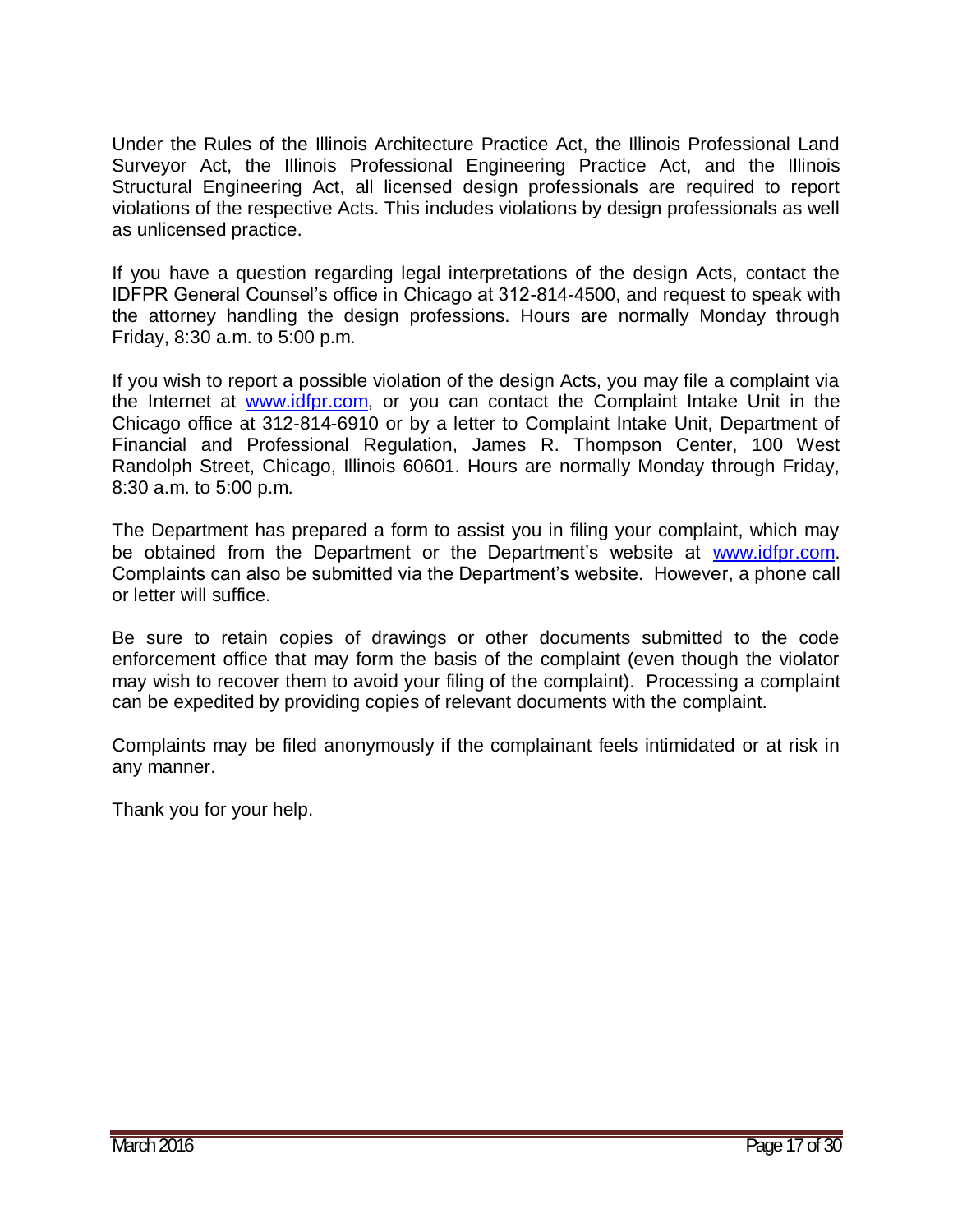Under the Rules of the Illinois Architecture Practice Act, the Illinois Professional Land Surveyor Act, the Illinois Professional Engineering Practice Act, and the Illinois Structural Engineering Act, all licensed design professionals are required to report violations of the respective Acts. This includes violations by design professionals as well as unlicensed practice.

If you have a question regarding legal interpretations of the design Acts, contact the IDFPR General Counsel's office in Chicago at 312-814-4500, and request to speak with the attorney handling the design professions. Hours are normally Monday through Friday, 8:30 a.m. to 5:00 p.m.

If you wish to report a possible violation of the design Acts, you may file a complaint via the Internet at [www.idfpr.com,](http://www.idfpr.com/) or you can contact the Complaint Intake Unit in the Chicago office at 312-814-6910 or by a letter to Complaint Intake Unit, Department of Financial and Professional Regulation, James R. Thompson Center, 100 West Randolph Street, Chicago, Illinois 60601. Hours are normally Monday through Friday, 8:30 a.m. to 5:00 p.m.

The Department has prepared a form to assist you in filing your complaint, which may be obtained from the Department or the Department's website at [www.idfpr.com.](http://www.idfpr.com/) Complaints can also be submitted via the Department's website. However, a phone call or letter will suffice.

Be sure to retain copies of drawings or other documents submitted to the code enforcement office that may form the basis of the complaint (even though the violator may wish to recover them to avoid your filing of the complaint). Processing a complaint can be expedited by providing copies of relevant documents with the complaint.

Complaints may be filed anonymously if the complainant feels intimidated or at risk in any manner.

Thank you for your help.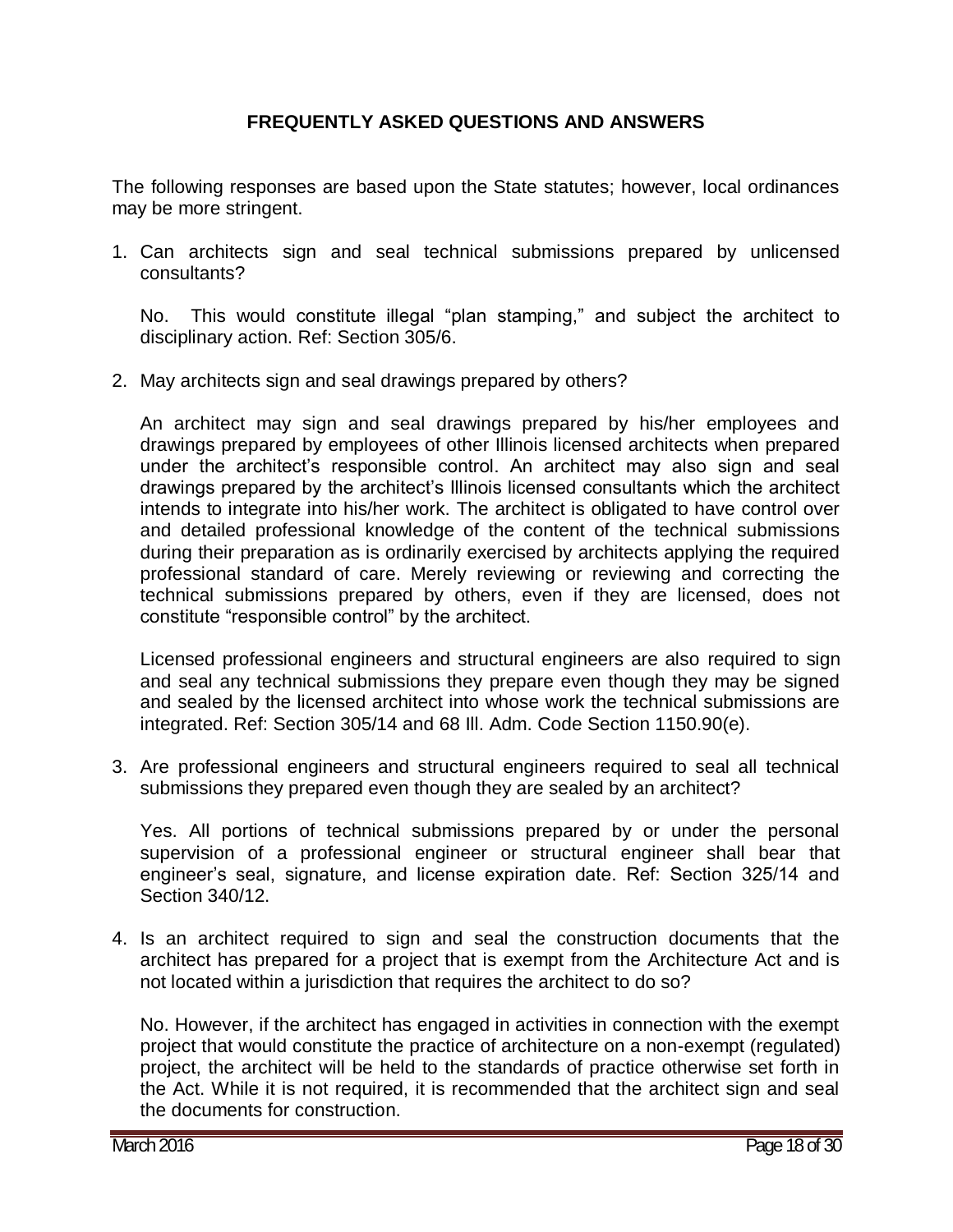#### **FREQUENTLY ASKED QUESTIONS AND ANSWERS**

The following responses are based upon the State statutes; however, local ordinances may be more stringent.

1. Can architects sign and seal technical submissions prepared by unlicensed consultants?

No. This would constitute illegal "plan stamping," and subject the architect to disciplinary action. Ref: Section 305/6.

2. May architects sign and seal drawings prepared by others?

An architect may sign and seal drawings prepared by his/her employees and drawings prepared by employees of other Illinois licensed architects when prepared under the architect's responsible control. An architect may also sign and seal drawings prepared by the architect's Illinois licensed consultants which the architect intends to integrate into his/her work. The architect is obligated to have control over and detailed professional knowledge of the content of the technical submissions during their preparation as is ordinarily exercised by architects applying the required professional standard of care. Merely reviewing or reviewing and correcting the technical submissions prepared by others, even if they are licensed, does not constitute "responsible control" by the architect.

Licensed professional engineers and structural engineers are also required to sign and seal any technical submissions they prepare even though they may be signed and sealed by the licensed architect into whose work the technical submissions are integrated. Ref: Section 305/14 and 68 Ill. Adm. Code Section 1150.90(e).

3. Are professional engineers and structural engineers required to seal all technical submissions they prepared even though they are sealed by an architect?

Yes. All portions of technical submissions prepared by or under the personal supervision of a professional engineer or structural engineer shall bear that engineer's seal, signature, and license expiration date. Ref: Section 325/14 and Section 340/12.

4. Is an architect required to sign and seal the construction documents that the architect has prepared for a project that is exempt from the Architecture Act and is not located within a jurisdiction that requires the architect to do so?

No. However, if the architect has engaged in activities in connection with the exempt project that would constitute the practice of architecture on a non-exempt (regulated) project, the architect will be held to the standards of practice otherwise set forth in the Act. While it is not required, it is recommended that the architect sign and seal the documents for construction.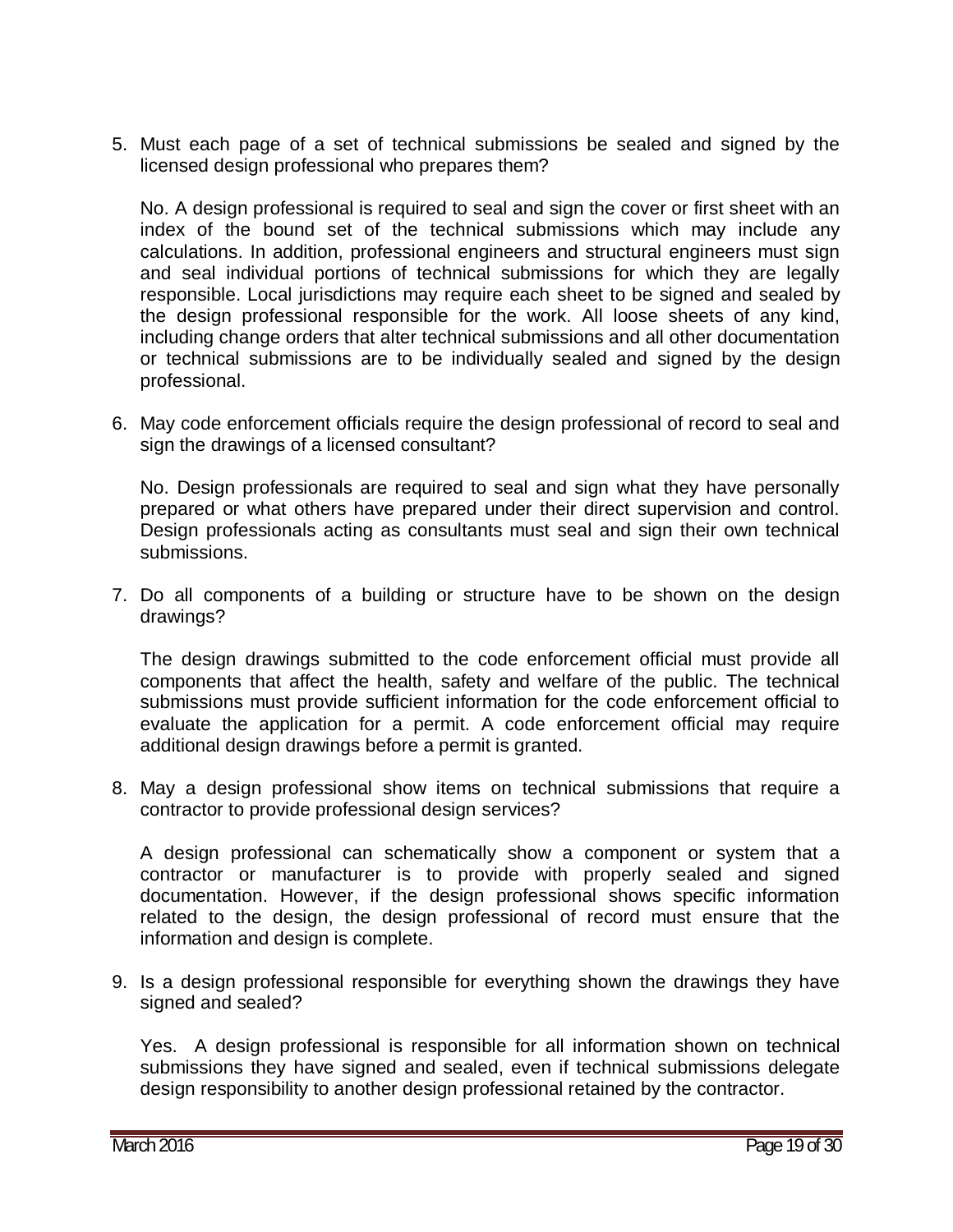5. Must each page of a set of technical submissions be sealed and signed by the licensed design professional who prepares them?

No. A design professional is required to seal and sign the cover or first sheet with an index of the bound set of the technical submissions which may include any calculations. In addition, professional engineers and structural engineers must sign and seal individual portions of technical submissions for which they are legally responsible. Local jurisdictions may require each sheet to be signed and sealed by the design professional responsible for the work. All loose sheets of any kind, including change orders that alter technical submissions and all other documentation or technical submissions are to be individually sealed and signed by the design professional.

6. May code enforcement officials require the design professional of record to seal and sign the drawings of a licensed consultant?

No. Design professionals are required to seal and sign what they have personally prepared or what others have prepared under their direct supervision and control. Design professionals acting as consultants must seal and sign their own technical submissions.

7. Do all components of a building or structure have to be shown on the design drawings?

The design drawings submitted to the code enforcement official must provide all components that affect the health, safety and welfare of the public. The technical submissions must provide sufficient information for the code enforcement official to evaluate the application for a permit. A code enforcement official may require additional design drawings before a permit is granted.

8. May a design professional show items on technical submissions that require a contractor to provide professional design services?

A design professional can schematically show a component or system that a contractor or manufacturer is to provide with properly sealed and signed documentation. However, if the design professional shows specific information related to the design, the design professional of record must ensure that the information and design is complete.

9. Is a design professional responsible for everything shown the drawings they have signed and sealed?

Yes. A design professional is responsible for all information shown on technical submissions they have signed and sealed, even if technical submissions delegate design responsibility to another design professional retained by the contractor.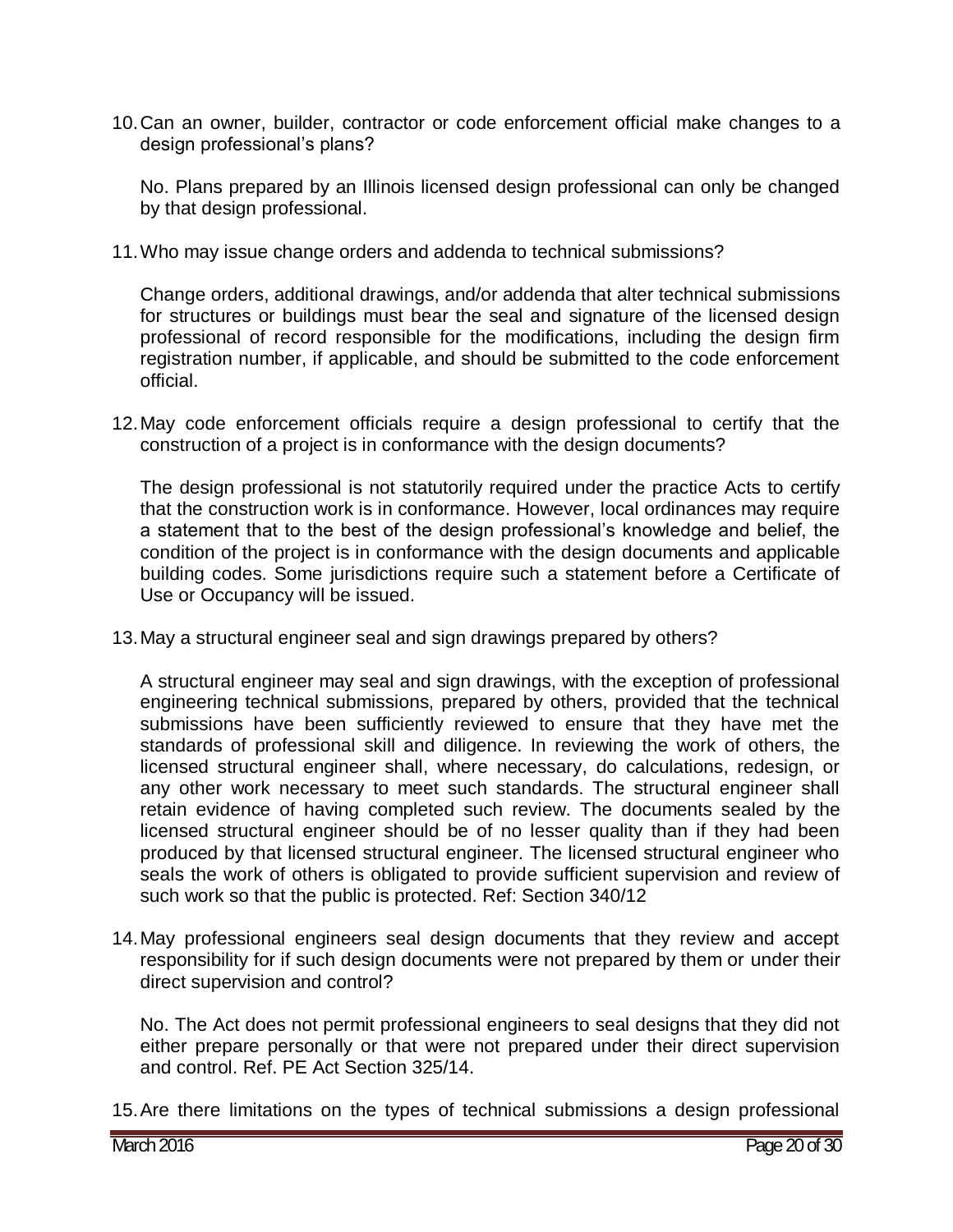10.Can an owner, builder, contractor or code enforcement official make changes to a design professional's plans?

No. Plans prepared by an Illinois licensed design professional can only be changed by that design professional.

11.Who may issue change orders and addenda to technical submissions?

Change orders, additional drawings, and/or addenda that alter technical submissions for structures or buildings must bear the seal and signature of the licensed design professional of record responsible for the modifications, including the design firm registration number, if applicable, and should be submitted to the code enforcement official.

12.May code enforcement officials require a design professional to certify that the construction of a project is in conformance with the design documents?

The design professional is not statutorily required under the practice Acts to certify that the construction work is in conformance. However, local ordinances may require a statement that to the best of the design professional's knowledge and belief, the condition of the project is in conformance with the design documents and applicable building codes. Some jurisdictions require such a statement before a Certificate of Use or Occupancy will be issued.

13.May a structural engineer seal and sign drawings prepared by others?

A structural engineer may seal and sign drawings, with the exception of professional engineering technical submissions, prepared by others, provided that the technical submissions have been sufficiently reviewed to ensure that they have met the standards of professional skill and diligence. In reviewing the work of others, the licensed structural engineer shall, where necessary, do calculations, redesign, or any other work necessary to meet such standards. The structural engineer shall retain evidence of having completed such review. The documents sealed by the licensed structural engineer should be of no lesser quality than if they had been produced by that licensed structural engineer. The licensed structural engineer who seals the work of others is obligated to provide sufficient supervision and review of such work so that the public is protected. Ref: Section 340/12

14.May professional engineers seal design documents that they review and accept responsibility for if such design documents were not prepared by them or under their direct supervision and control?

No. The Act does not permit professional engineers to seal designs that they did not either prepare personally or that were not prepared under their direct supervision and control. Ref. PE Act Section 325/14.

15.Are there limitations on the types of technical submissions a design professional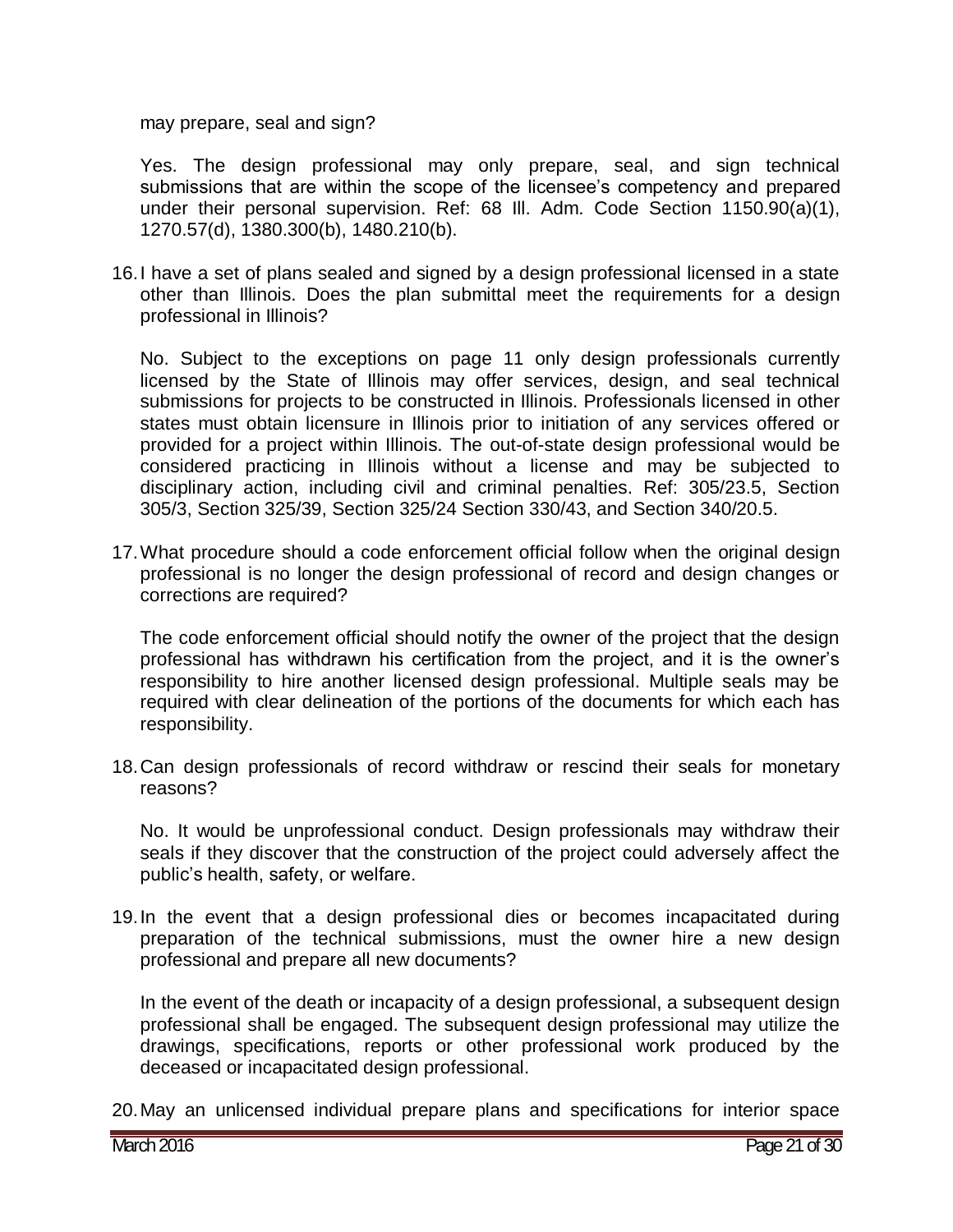may prepare, seal and sign?

Yes. The design professional may only prepare, seal, and sign technical submissions that are within the scope of the licensee's competency and prepared under their personal supervision. Ref: 68 Ill. Adm. Code Section 1150.90(a)(1), 1270.57(d), 1380.300(b), 1480.210(b).

16.I have a set of plans sealed and signed by a design professional licensed in a state other than Illinois. Does the plan submittal meet the requirements for a design professional in Illinois?

No. Subject to the exceptions on page 11 only design professionals currently licensed by the State of Illinois may offer services, design, and seal technical submissions for projects to be constructed in Illinois. Professionals licensed in other states must obtain licensure in Illinois prior to initiation of any services offered or provided for a project within Illinois. The out-of-state design professional would be considered practicing in Illinois without a license and may be subjected to disciplinary action, including civil and criminal penalties. Ref: 305/23.5, Section 305/3, Section 325/39, Section 325/24 Section 330/43, and Section 340/20.5.

17.What procedure should a code enforcement official follow when the original design professional is no longer the design professional of record and design changes or corrections are required?

The code enforcement official should notify the owner of the project that the design professional has withdrawn his certification from the project, and it is the owner's responsibility to hire another licensed design professional. Multiple seals may be required with clear delineation of the portions of the documents for which each has responsibility.

18.Can design professionals of record withdraw or rescind their seals for monetary reasons?

No. It would be unprofessional conduct. Design professionals may withdraw their seals if they discover that the construction of the project could adversely affect the public's health, safety, or welfare.

19.In the event that a design professional dies or becomes incapacitated during preparation of the technical submissions, must the owner hire a new design professional and prepare all new documents?

In the event of the death or incapacity of a design professional, a subsequent design professional shall be engaged. The subsequent design professional may utilize the drawings, specifications, reports or other professional work produced by the deceased or incapacitated design professional.

20.May an unlicensed individual prepare plans and specifications for interior space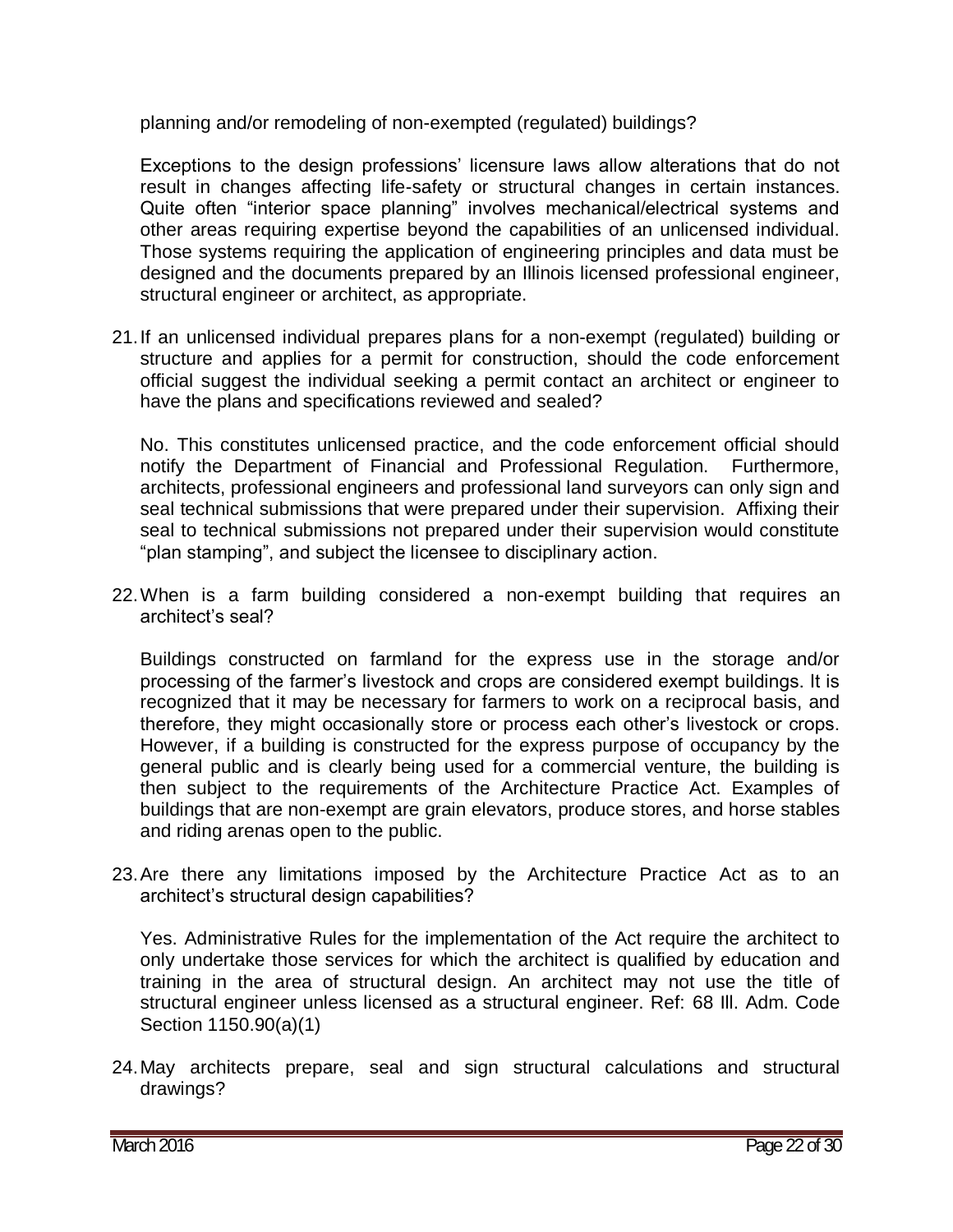planning and/or remodeling of non-exempted (regulated) buildings?

Exceptions to the design professions' licensure laws allow alterations that do not result in changes affecting life-safety or structural changes in certain instances. Quite often "interior space planning" involves mechanical/electrical systems and other areas requiring expertise beyond the capabilities of an unlicensed individual. Those systems requiring the application of engineering principles and data must be designed and the documents prepared by an Illinois licensed professional engineer, structural engineer or architect, as appropriate.

21.If an unlicensed individual prepares plans for a non-exempt (regulated) building or structure and applies for a permit for construction, should the code enforcement official suggest the individual seeking a permit contact an architect or engineer to have the plans and specifications reviewed and sealed?

No. This constitutes unlicensed practice, and the code enforcement official should notify the Department of Financial and Professional Regulation. Furthermore, architects, professional engineers and professional land surveyors can only sign and seal technical submissions that were prepared under their supervision. Affixing their seal to technical submissions not prepared under their supervision would constitute "plan stamping", and subject the licensee to disciplinary action.

22.When is a farm building considered a non-exempt building that requires an architect's seal?

Buildings constructed on farmland for the express use in the storage and/or processing of the farmer's livestock and crops are considered exempt buildings. It is recognized that it may be necessary for farmers to work on a reciprocal basis, and therefore, they might occasionally store or process each other's livestock or crops. However, if a building is constructed for the express purpose of occupancy by the general public and is clearly being used for a commercial venture, the building is then subject to the requirements of the Architecture Practice Act. Examples of buildings that are non-exempt are grain elevators, produce stores, and horse stables and riding arenas open to the public.

23.Are there any limitations imposed by the Architecture Practice Act as to an architect's structural design capabilities?

Yes. Administrative Rules for the implementation of the Act require the architect to only undertake those services for which the architect is qualified by education and training in the area of structural design. An architect may not use the title of structural engineer unless licensed as a structural engineer. Ref: 68 Ill. Adm. Code Section 1150.90(a)(1)

24.May architects prepare, seal and sign structural calculations and structural drawings?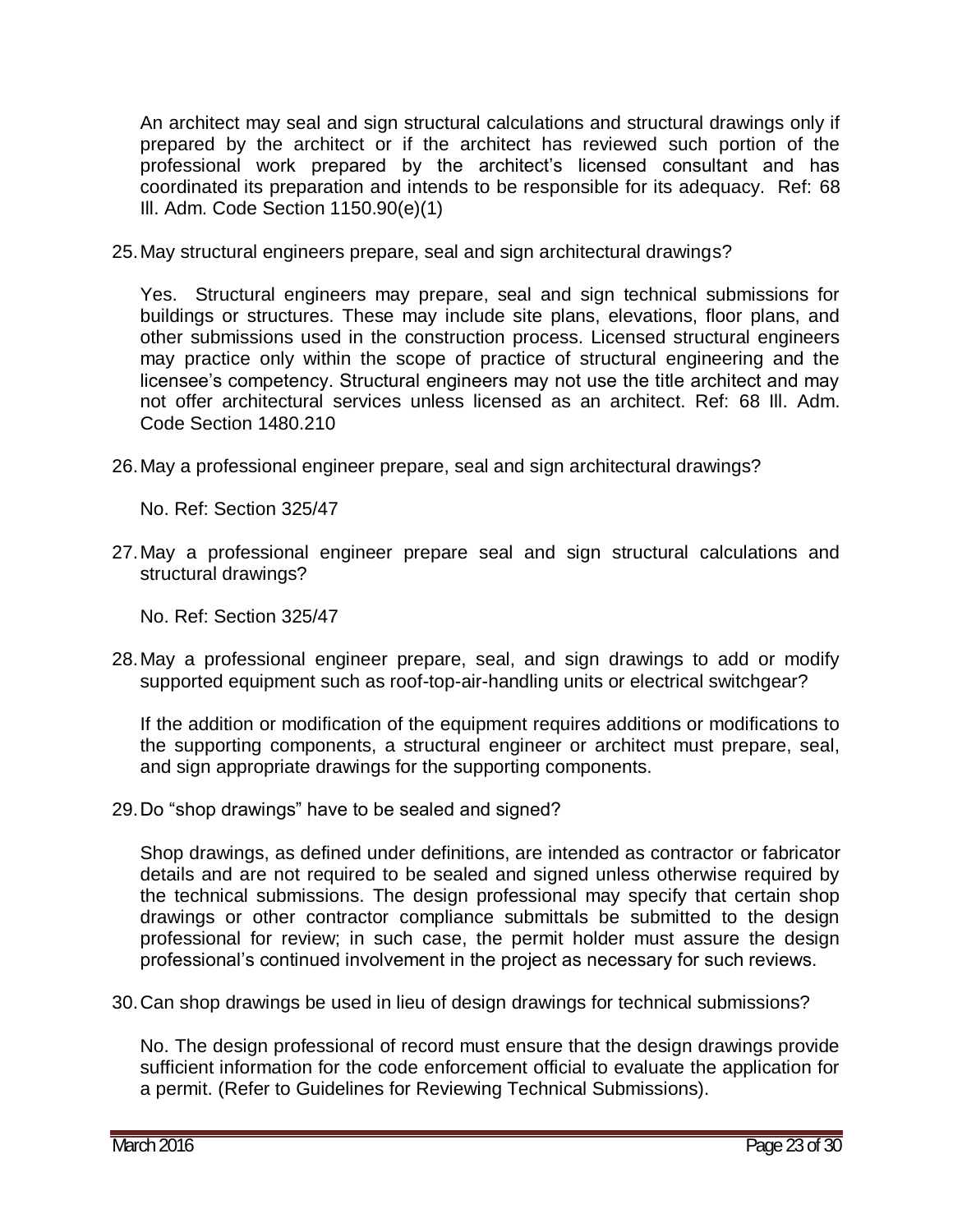An architect may seal and sign structural calculations and structural drawings only if prepared by the architect or if the architect has reviewed such portion of the professional work prepared by the architect's licensed consultant and has coordinated its preparation and intends to be responsible for its adequacy. Ref: 68 Ill. Adm. Code Section 1150.90(e)(1)

25.May structural engineers prepare, seal and sign architectural drawings?

Yes. Structural engineers may prepare, seal and sign technical submissions for buildings or structures. These may include site plans, elevations, floor plans, and other submissions used in the construction process. Licensed structural engineers may practice only within the scope of practice of structural engineering and the licensee's competency. Structural engineers may not use the title architect and may not offer architectural services unless licensed as an architect. Ref: 68 Ill. Adm. Code Section 1480.210

26.May a professional engineer prepare, seal and sign architectural drawings?

No. Ref: Section 325/47

27.May a professional engineer prepare seal and sign structural calculations and structural drawings?

No. Ref: Section 325/47

28.May a professional engineer prepare, seal, and sign drawings to add or modify supported equipment such as roof-top-air-handling units or electrical switchgear?

If the addition or modification of the equipment requires additions or modifications to the supporting components, a structural engineer or architect must prepare, seal, and sign appropriate drawings for the supporting components.

29.Do "shop drawings" have to be sealed and signed?

Shop drawings, as defined under definitions, are intended as contractor or fabricator details and are not required to be sealed and signed unless otherwise required by the technical submissions. The design professional may specify that certain shop drawings or other contractor compliance submittals be submitted to the design professional for review; in such case, the permit holder must assure the design professional's continued involvement in the project as necessary for such reviews.

30.Can shop drawings be used in lieu of design drawings for technical submissions?

No. The design professional of record must ensure that the design drawings provide sufficient information for the code enforcement official to evaluate the application for a permit. (Refer to Guidelines for Reviewing Technical Submissions).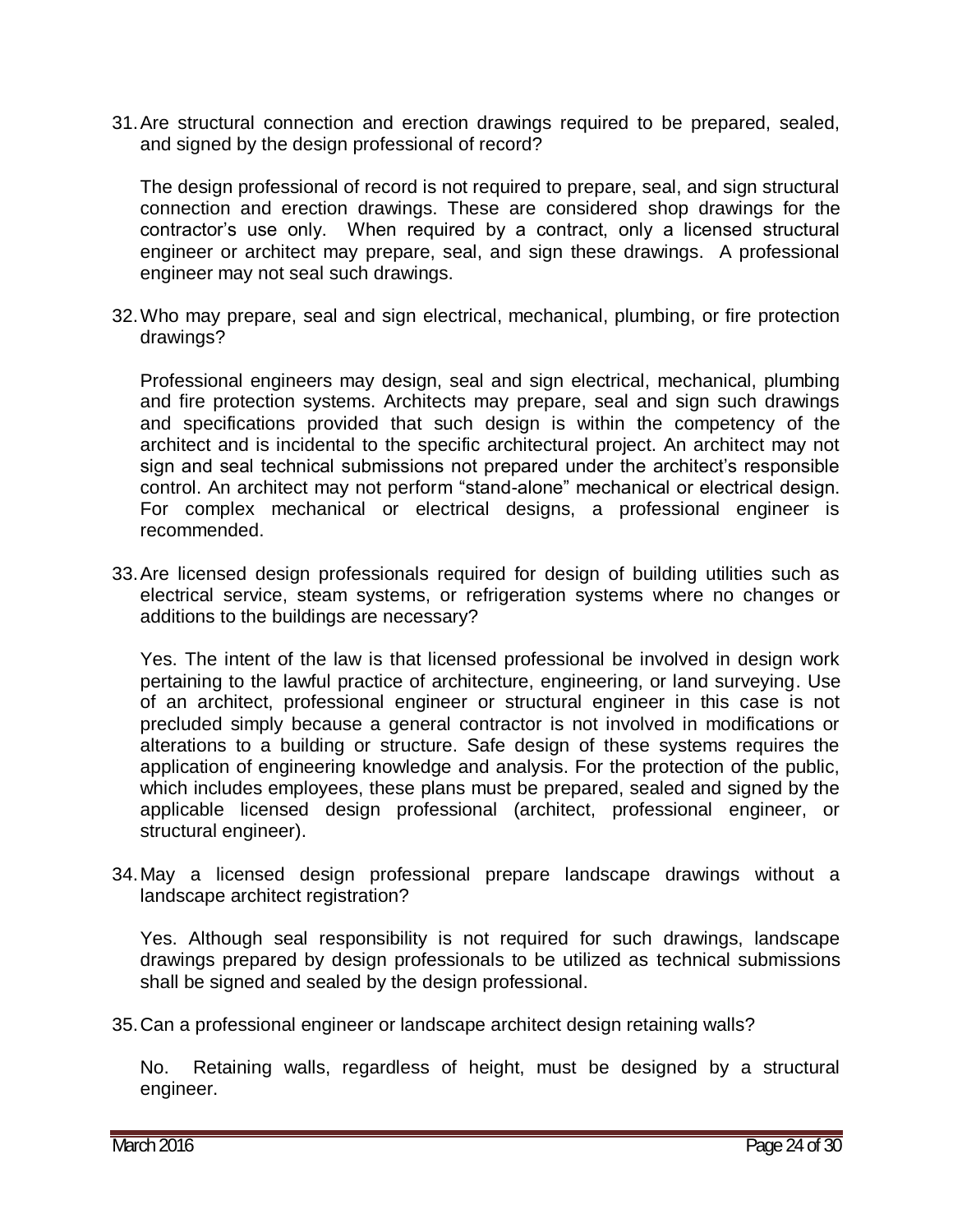31.Are structural connection and erection drawings required to be prepared, sealed, and signed by the design professional of record?

The design professional of record is not required to prepare, seal, and sign structural connection and erection drawings. These are considered shop drawings for the contractor's use only. When required by a contract, only a licensed structural engineer or architect may prepare, seal, and sign these drawings. A professional engineer may not seal such drawings.

32.Who may prepare, seal and sign electrical, mechanical, plumbing, or fire protection drawings?

Professional engineers may design, seal and sign electrical, mechanical, plumbing and fire protection systems. Architects may prepare, seal and sign such drawings and specifications provided that such design is within the competency of the architect and is incidental to the specific architectural project. An architect may not sign and seal technical submissions not prepared under the architect's responsible control. An architect may not perform "stand-alone" mechanical or electrical design. For complex mechanical or electrical designs, a professional engineer is recommended.

33.Are licensed design professionals required for design of building utilities such as electrical service, steam systems, or refrigeration systems where no changes or additions to the buildings are necessary?

Yes. The intent of the law is that licensed professional be involved in design work pertaining to the lawful practice of architecture, engineering, or land surveying. Use of an architect, professional engineer or structural engineer in this case is not precluded simply because a general contractor is not involved in modifications or alterations to a building or structure. Safe design of these systems requires the application of engineering knowledge and analysis. For the protection of the public, which includes employees, these plans must be prepared, sealed and signed by the applicable licensed design professional (architect, professional engineer, or structural engineer).

34.May a licensed design professional prepare landscape drawings without a landscape architect registration?

Yes. Although seal responsibility is not required for such drawings, landscape drawings prepared by design professionals to be utilized as technical submissions shall be signed and sealed by the design professional.

35.Can a professional engineer or landscape architect design retaining walls?

No. Retaining walls, regardless of height, must be designed by a structural engineer.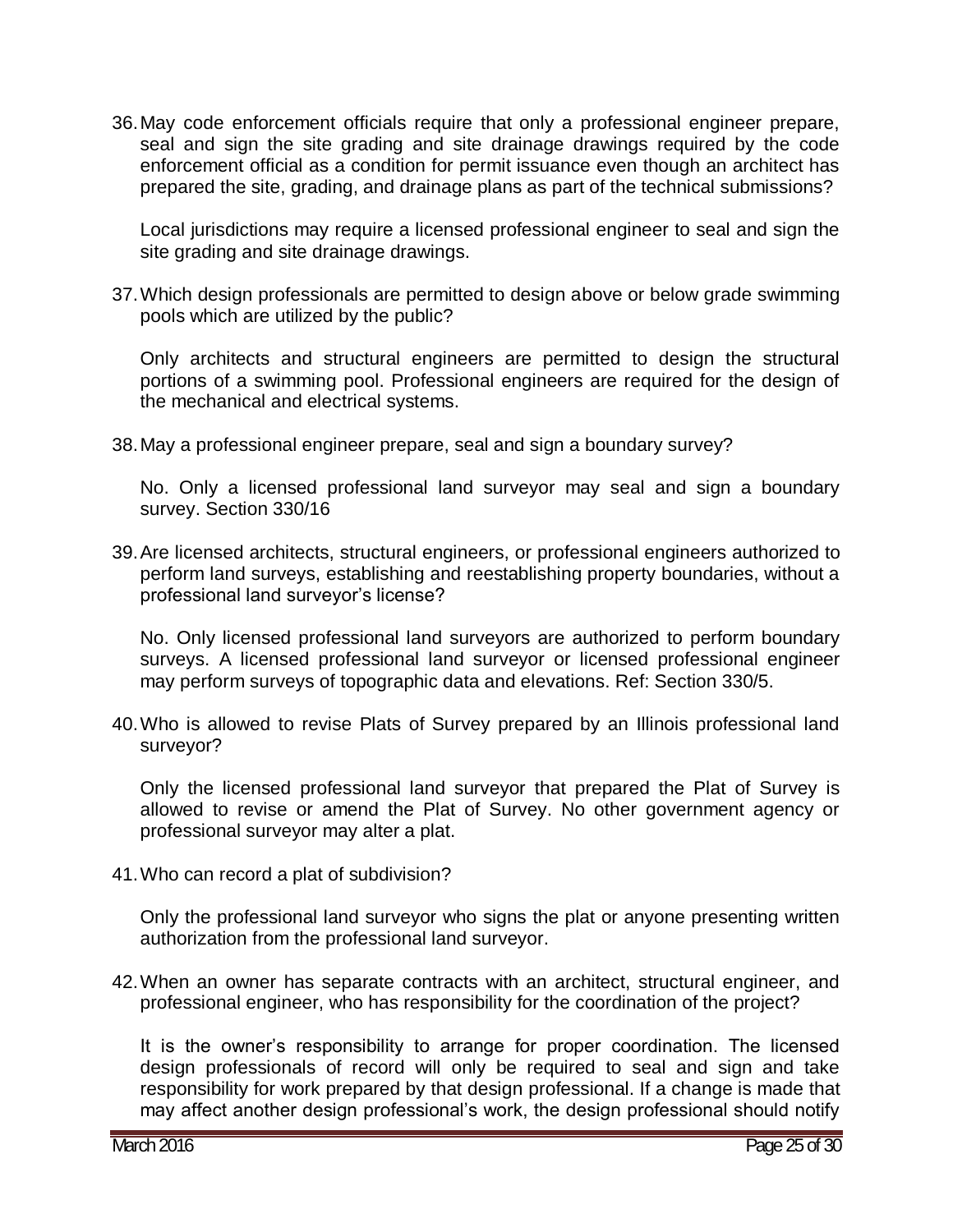36.May code enforcement officials require that only a professional engineer prepare, seal and sign the site grading and site drainage drawings required by the code enforcement official as a condition for permit issuance even though an architect has prepared the site, grading, and drainage plans as part of the technical submissions?

Local jurisdictions may require a licensed professional engineer to seal and sign the site grading and site drainage drawings.

37.Which design professionals are permitted to design above or below grade swimming pools which are utilized by the public?

Only architects and structural engineers are permitted to design the structural portions of a swimming pool. Professional engineers are required for the design of the mechanical and electrical systems.

38.May a professional engineer prepare, seal and sign a boundary survey?

No. Only a licensed professional land surveyor may seal and sign a boundary survey. Section 330/16

39.Are licensed architects, structural engineers, or professional engineers authorized to perform land surveys, establishing and reestablishing property boundaries, without a professional land surveyor's license?

No. Only licensed professional land surveyors are authorized to perform boundary surveys. A licensed professional land surveyor or licensed professional engineer may perform surveys of topographic data and elevations. Ref: Section 330/5.

40.Who is allowed to revise Plats of Survey prepared by an Illinois professional land surveyor?

Only the licensed professional land surveyor that prepared the Plat of Survey is allowed to revise or amend the Plat of Survey. No other government agency or professional surveyor may alter a plat.

41.Who can record a plat of subdivision?

Only the professional land surveyor who signs the plat or anyone presenting written authorization from the professional land surveyor.

42.When an owner has separate contracts with an architect, structural engineer, and professional engineer, who has responsibility for the coordination of the project?

It is the owner's responsibility to arrange for proper coordination. The licensed design professionals of record will only be required to seal and sign and take responsibility for work prepared by that design professional. If a change is made that may affect another design professional's work, the design professional should notify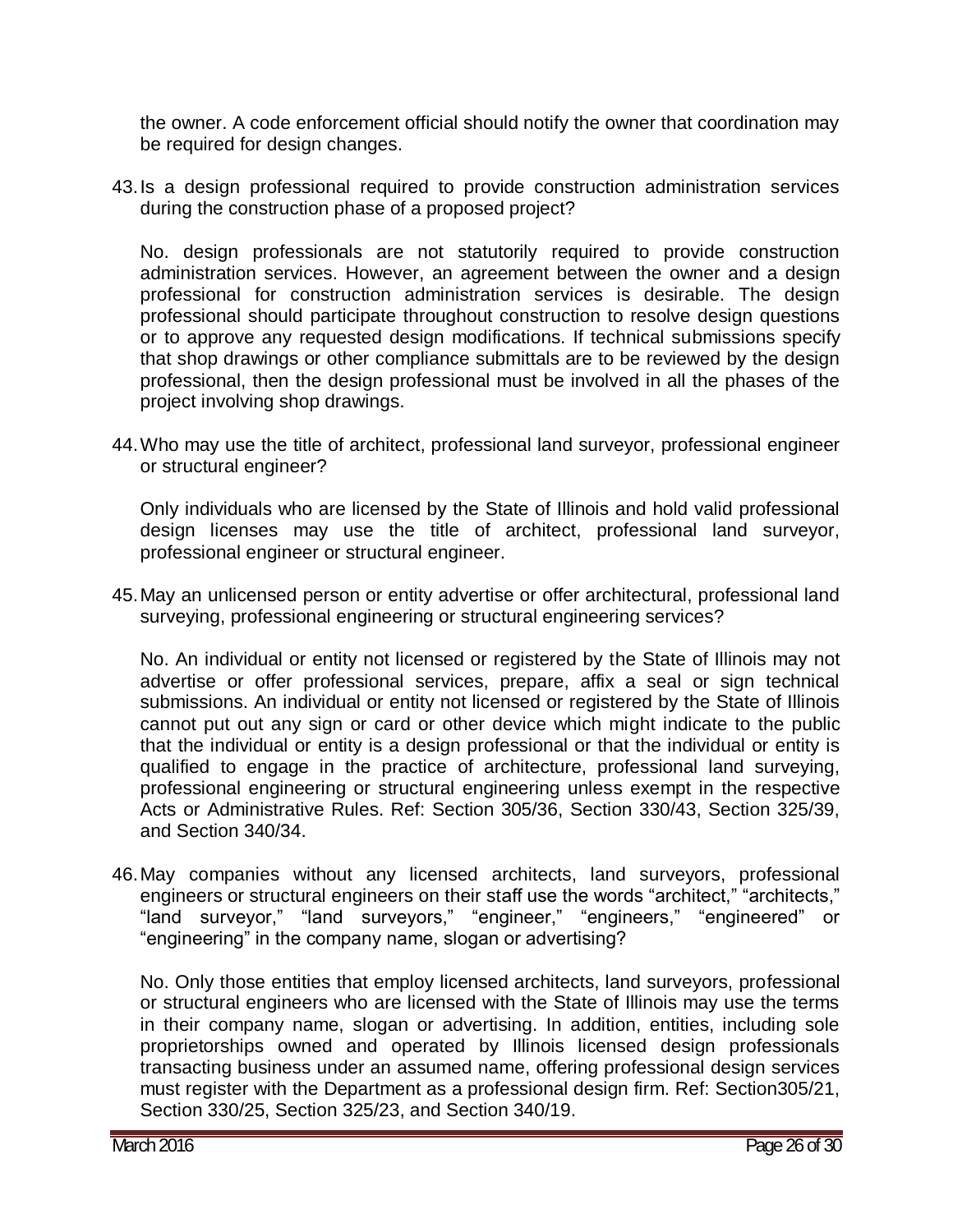the owner. A code enforcement official should notify the owner that coordination may be required for design changes.

43.Is a design professional required to provide construction administration services during the construction phase of a proposed project?

No. design professionals are not statutorily required to provide construction administration services. However, an agreement between the owner and a design professional for construction administration services is desirable. The design professional should participate throughout construction to resolve design questions or to approve any requested design modifications. If technical submissions specify that shop drawings or other compliance submittals are to be reviewed by the design professional, then the design professional must be involved in all the phases of the project involving shop drawings.

44.Who may use the title of architect, professional land surveyor, professional engineer or structural engineer?

Only individuals who are licensed by the State of Illinois and hold valid professional design licenses may use the title of architect, professional land surveyor, professional engineer or structural engineer.

45.May an unlicensed person or entity advertise or offer architectural, professional land surveying, professional engineering or structural engineering services?

No. An individual or entity not licensed or registered by the State of Illinois may not advertise or offer professional services, prepare, affix a seal or sign technical submissions. An individual or entity not licensed or registered by the State of Illinois cannot put out any sign or card or other device which might indicate to the public that the individual or entity is a design professional or that the individual or entity is qualified to engage in the practice of architecture, professional land surveying, professional engineering or structural engineering unless exempt in the respective Acts or Administrative Rules. Ref: Section 305/36, Section 330/43, Section 325/39, and Section 340/34.

46.May companies without any licensed architects, land surveyors, professional engineers or structural engineers on their staff use the words "architect," "architects," "land surveyor," "land surveyors," "engineer," "engineers," "engineered" or "engineering" in the company name, slogan or advertising?

No. Only those entities that employ licensed architects, land surveyors, professional or structural engineers who are licensed with the State of Illinois may use the terms in their company name, slogan or advertising. In addition, entities, including sole proprietorships owned and operated by Illinois licensed design professionals transacting business under an assumed name, offering professional design services must register with the Department as a professional design firm. Ref: Section305/21, Section 330/25, Section 325/23, and Section 340/19.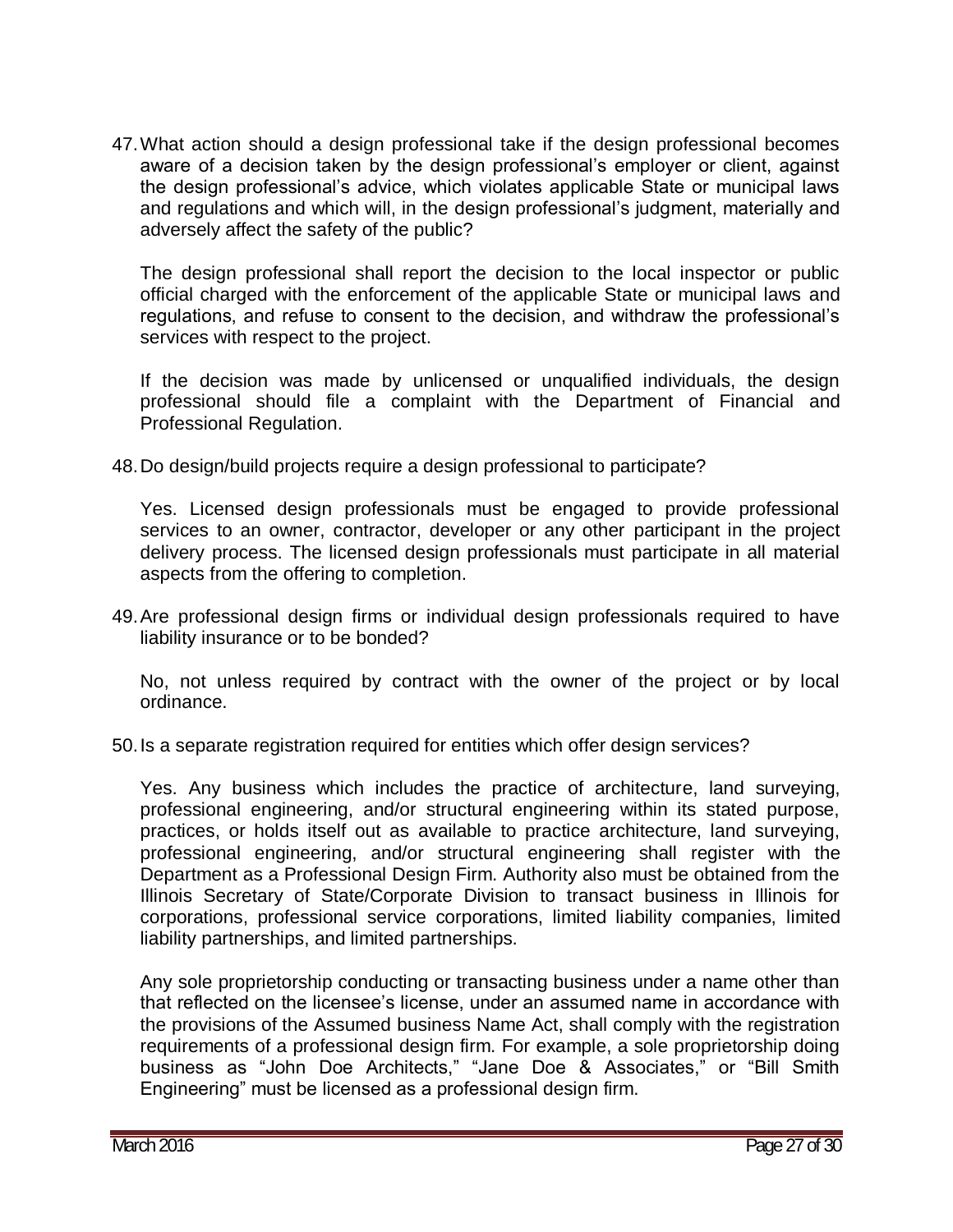47.What action should a design professional take if the design professional becomes aware of a decision taken by the design professional's employer or client, against the design professional's advice, which violates applicable State or municipal laws and regulations and which will, in the design professional's judgment, materially and adversely affect the safety of the public?

The design professional shall report the decision to the local inspector or public official charged with the enforcement of the applicable State or municipal laws and regulations, and refuse to consent to the decision, and withdraw the professional's services with respect to the project.

If the decision was made by unlicensed or unqualified individuals, the design professional should file a complaint with the Department of Financial and Professional Regulation.

48.Do design/build projects require a design professional to participate?

Yes. Licensed design professionals must be engaged to provide professional services to an owner, contractor, developer or any other participant in the project delivery process. The licensed design professionals must participate in all material aspects from the offering to completion.

49.Are professional design firms or individual design professionals required to have liability insurance or to be bonded?

No, not unless required by contract with the owner of the project or by local ordinance.

50.Is a separate registration required for entities which offer design services?

Yes. Any business which includes the practice of architecture, land surveying, professional engineering, and/or structural engineering within its stated purpose, practices, or holds itself out as available to practice architecture, land surveying, professional engineering, and/or structural engineering shall register with the Department as a Professional Design Firm. Authority also must be obtained from the Illinois Secretary of State/Corporate Division to transact business in Illinois for corporations, professional service corporations, limited liability companies, limited liability partnerships, and limited partnerships.

Any sole proprietorship conducting or transacting business under a name other than that reflected on the licensee's license, under an assumed name in accordance with the provisions of the Assumed business Name Act, shall comply with the registration requirements of a professional design firm. For example, a sole proprietorship doing business as "John Doe Architects," "Jane Doe & Associates," or "Bill Smith Engineering" must be licensed as a professional design firm.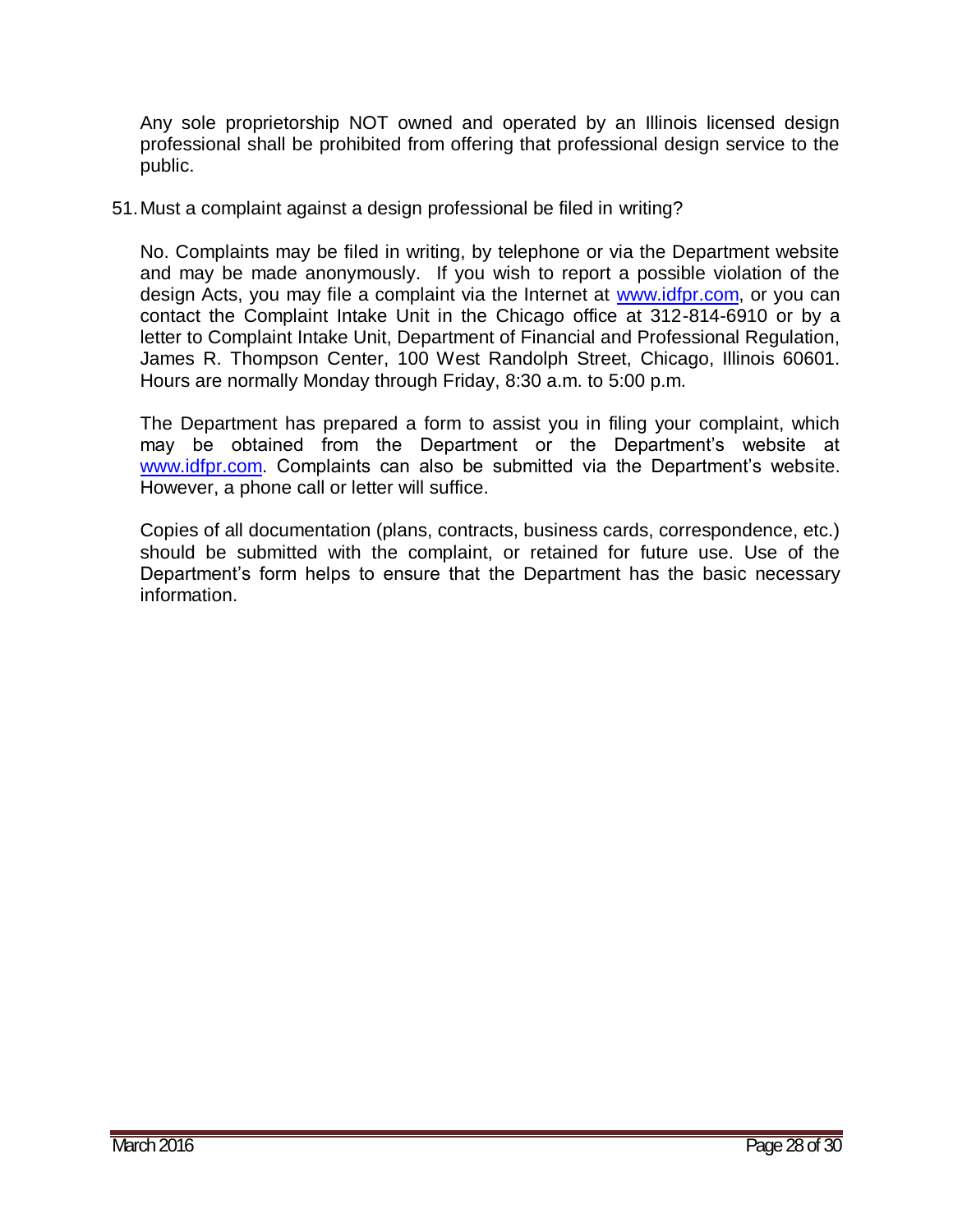Any sole proprietorship NOT owned and operated by an Illinois licensed design professional shall be prohibited from offering that professional design service to the public.

51.Must a complaint against a design professional be filed in writing?

No. Complaints may be filed in writing, by telephone or via the Department website and may be made anonymously. If you wish to report a possible violation of the design Acts, you may file a complaint via the Internet at [www.idfpr.com,](http://www.idfpr.com/) or you can contact the Complaint Intake Unit in the Chicago office at 312-814-6910 or by a letter to Complaint Intake Unit, Department of Financial and Professional Regulation, James R. Thompson Center, 100 West Randolph Street, Chicago, Illinois 60601. Hours are normally Monday through Friday, 8:30 a.m. to 5:00 p.m.

The Department has prepared a form to assist you in filing your complaint, which may be obtained from the Department or the Department's website at [www.idfpr.com.](http://www.idfpr.com/) Complaints can also be submitted via the Department's website. However, a phone call or letter will suffice.

Copies of all documentation (plans, contracts, business cards, correspondence, etc.) should be submitted with the complaint, or retained for future use. Use of the Department's form helps to ensure that the Department has the basic necessary information.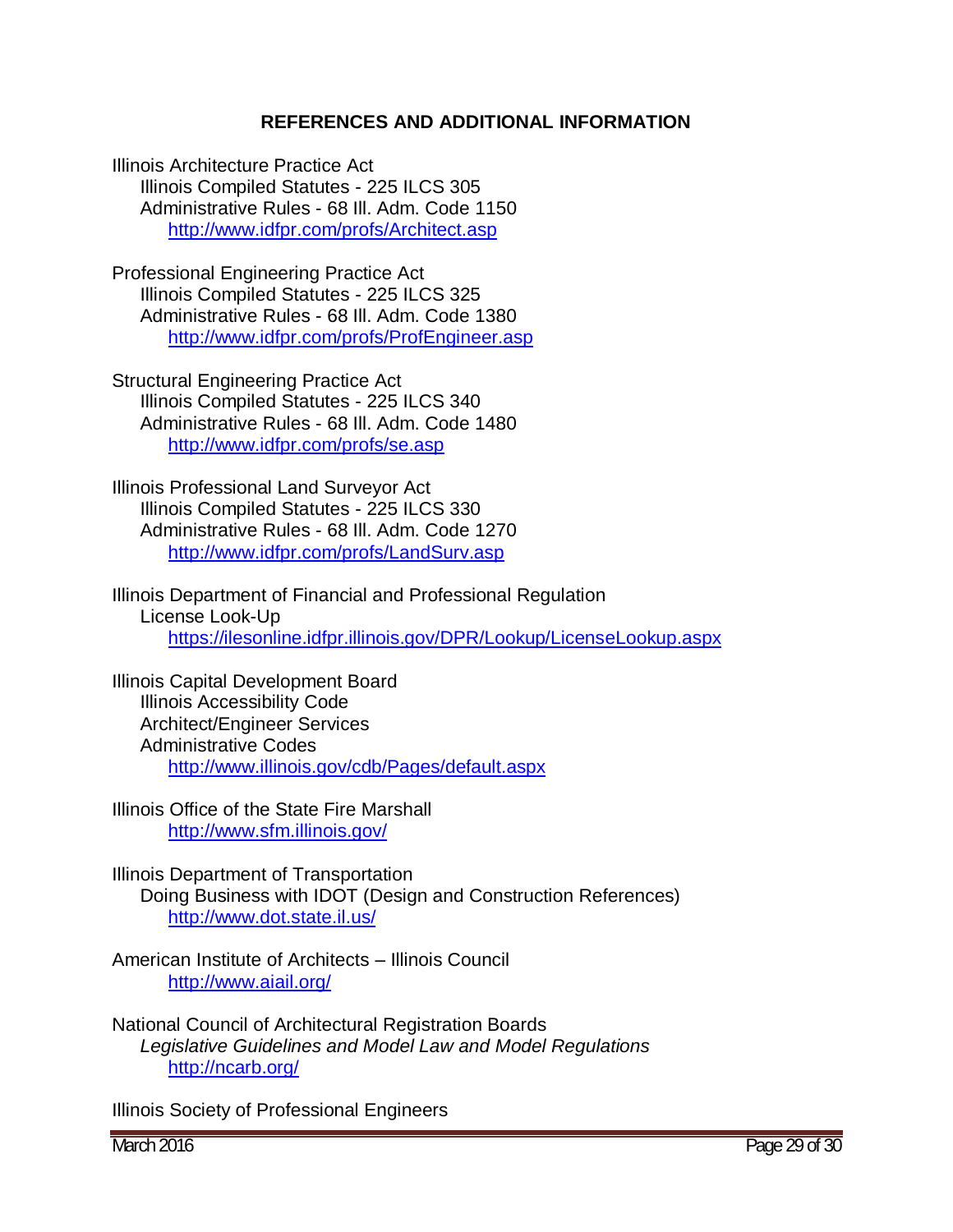#### **REFERENCES AND ADDITIONAL INFORMATION**

Illinois Architecture Practice Act Illinois Compiled Statutes - 225 ILCS 305 Administrative Rules - 68 Ill. Adm. Code 1150 <http://www.idfpr.com/profs/Architect.asp>

Professional Engineering Practice Act Illinois Compiled Statutes - 225 ILCS 325 Administrative Rules - 68 Ill. Adm. Code 1380 <http://www.idfpr.com/profs/ProfEngineer.asp>

Structural Engineering Practice Act Illinois Compiled Statutes - 225 ILCS 340 Administrative Rules - 68 Ill. Adm. Code 1480 <http://www.idfpr.com/profs/se.asp>

Illinois Professional Land Surveyor Act Illinois Compiled Statutes - 225 ILCS 330 Administrative Rules - 68 Ill. Adm. Code 1270 <http://www.idfpr.com/profs/LandSurv.asp>

Illinois Department of Financial and Professional Regulation License Look-Up <https://ilesonline.idfpr.illinois.gov/DPR/Lookup/LicenseLookup.aspx>

Illinois Capital Development Board Illinois Accessibility Code Architect/Engineer Services Administrative Codes <http://www.illinois.gov/cdb/Pages/default.aspx>

Illinois Office of the State Fire Marshall <http://www.sfm.illinois.gov/>

Illinois Department of Transportation Doing Business with IDOT (Design and Construction References) <http://www.dot.state.il.us/>

American Institute of Architects – Illinois Council <http://www.aiail.org/>

National Council of Architectural Registration Boards *Legislative Guidelines and Model Law and Model Regulations* <http://ncarb.org/>

Illinois Society of Professional Engineers